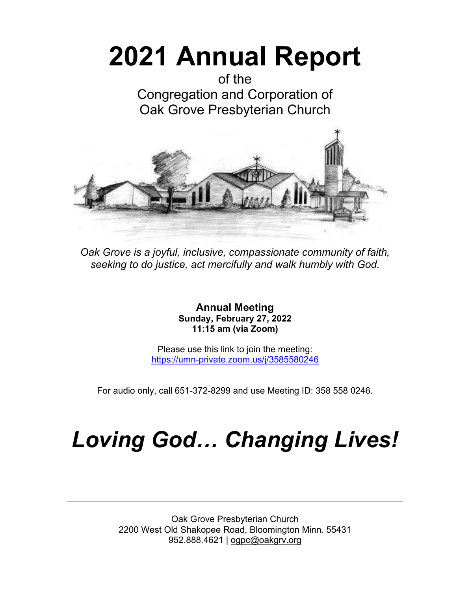# **2021 Annual Report**

of the Congregation and Corporation of Oak Grove Presbyterian Church



*Oak Grove is a joyful, inclusive, compassionate community of faith, seeking to do justice, act mercifully and walk humbly with God.*

> **Annual Meeting Sunday, February 27, 2022 11:15 am (via Zoom)**

Please use this link to join the meeting: <https://umn-private.zoom.us/j/3585580246>

For audio only, call 651-372-8299 and use Meeting ID: 358 558 0246.

## *Loving God… Changing Lives!*

Oak Grove Presbyterian Church 2200 West Old Shakopee Road, Bloomington Minn. 55431 952.888.4621 | [ogpc@oakgrv.org](mailto:ogpc@oakgrv.org)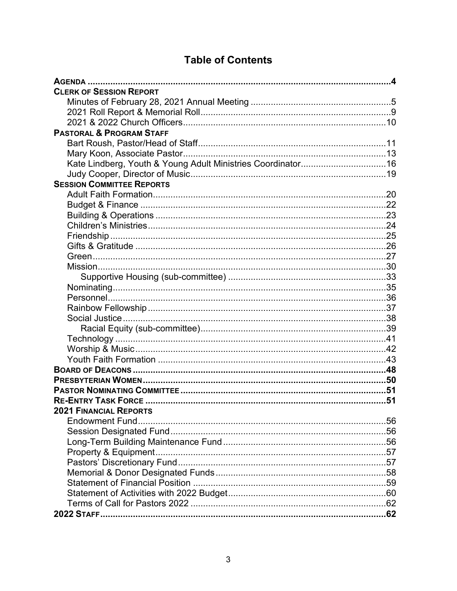## **Table of Contents**

| <b>CLERK OF SESSION REPORT</b>                                                   |  |
|----------------------------------------------------------------------------------|--|
|                                                                                  |  |
|                                                                                  |  |
|                                                                                  |  |
| <b>PASTORAL &amp; PROGRAM STAFF</b>                                              |  |
|                                                                                  |  |
|                                                                                  |  |
|                                                                                  |  |
|                                                                                  |  |
| <b>SESSION COMMITTEE REPORTS</b>                                                 |  |
|                                                                                  |  |
|                                                                                  |  |
|                                                                                  |  |
|                                                                                  |  |
|                                                                                  |  |
|                                                                                  |  |
|                                                                                  |  |
|                                                                                  |  |
|                                                                                  |  |
|                                                                                  |  |
|                                                                                  |  |
|                                                                                  |  |
|                                                                                  |  |
|                                                                                  |  |
|                                                                                  |  |
|                                                                                  |  |
|                                                                                  |  |
|                                                                                  |  |
|                                                                                  |  |
|                                                                                  |  |
|                                                                                  |  |
| <b>2021 FINANCIAL REPORTS AND RESISTENT STATES AND RESISTANCE SERVICE STATES</b> |  |
|                                                                                  |  |
|                                                                                  |  |
|                                                                                  |  |
|                                                                                  |  |
|                                                                                  |  |
|                                                                                  |  |
|                                                                                  |  |
|                                                                                  |  |
|                                                                                  |  |
|                                                                                  |  |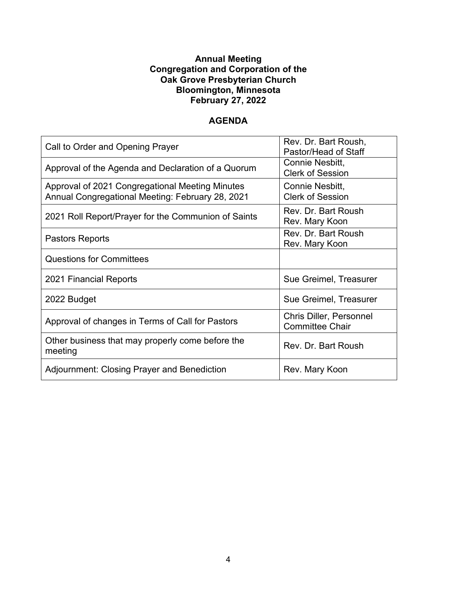#### **Annual Meeting Congregation and Corporation of the Oak Grove Presbyterian Church Bloomington, Minnesota February 27, 2022**

#### **AGENDA**

| Call to Order and Opening Prayer                                                                    | Rev. Dr. Bart Roush,<br>Pastor/Head of Staff             |
|-----------------------------------------------------------------------------------------------------|----------------------------------------------------------|
| Approval of the Agenda and Declaration of a Quorum                                                  | Connie Nesbitt,<br><b>Clerk of Session</b>               |
| Approval of 2021 Congregational Meeting Minutes<br>Annual Congregational Meeting: February 28, 2021 | Connie Nesbitt,<br><b>Clerk of Session</b>               |
| 2021 Roll Report/Prayer for the Communion of Saints                                                 | Rev. Dr. Bart Roush<br>Rev. Mary Koon                    |
| <b>Pastors Reports</b>                                                                              | Rev. Dr. Bart Roush<br>Rev. Mary Koon                    |
| <b>Questions for Committees</b>                                                                     |                                                          |
| 2021 Financial Reports                                                                              | Sue Greimel, Treasurer                                   |
| 2022 Budget                                                                                         | Sue Greimel, Treasurer                                   |
| Approval of changes in Terms of Call for Pastors                                                    | <b>Chris Diller, Personnel</b><br><b>Committee Chair</b> |
| Other business that may properly come before the<br>meeting                                         | Rev. Dr. Bart Roush                                      |
| Adjournment: Closing Prayer and Benediction                                                         | Rev. Mary Koon                                           |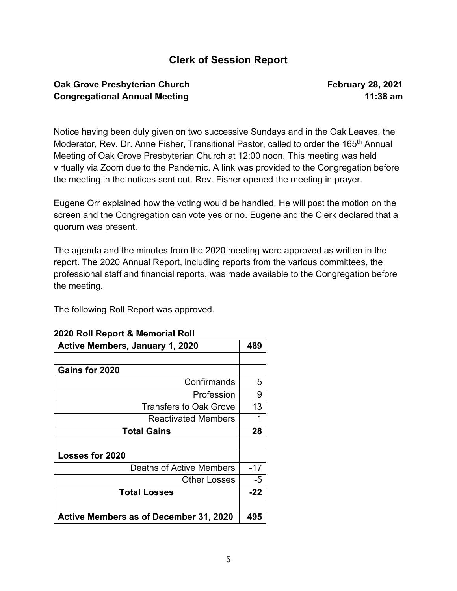### **Clerk of Session Report**

#### **Oak Grove Presbyterian Church February 28, 2021 Congregational Annual Meeting 11:38 am**

Notice having been duly given on two successive Sundays and in the Oak Leaves, the Moderator, Rev. Dr. Anne Fisher, Transitional Pastor, called to order the 165<sup>th</sup> Annual Meeting of Oak Grove Presbyterian Church at 12:00 noon. This meeting was held virtually via Zoom due to the Pandemic. A link was provided to the Congregation before the meeting in the notices sent out. Rev. Fisher opened the meeting in prayer.

Eugene Orr explained how the voting would be handled. He will post the motion on the screen and the Congregation can vote yes or no. Eugene and the Clerk declared that a quorum was present.

The agenda and the minutes from the 2020 meeting were approved as written in the report. The 2020 Annual Report, including reports from the various committees, the professional staff and financial reports, was made available to the Congregation before the meeting.

The following Roll Report was approved.

| <b>Active Members, January 1, 2020</b>        |       |  |
|-----------------------------------------------|-------|--|
|                                               |       |  |
| Gains for 2020                                |       |  |
| Confirmands                                   | 5     |  |
| Profession                                    | 9     |  |
| <b>Transfers to Oak Grove</b>                 | 13    |  |
| <b>Reactivated Members</b>                    |       |  |
| <b>Total Gains</b>                            | 28    |  |
|                                               |       |  |
| <b>Losses for 2020</b>                        |       |  |
| Deaths of Active Members                      | $-17$ |  |
| <b>Other Losses</b>                           | $-5$  |  |
| <b>Total Losses</b>                           | $-22$ |  |
|                                               |       |  |
| <b>Active Members as of December 31, 2020</b> | 495   |  |

#### **2020 Roll Report & Memorial Roll**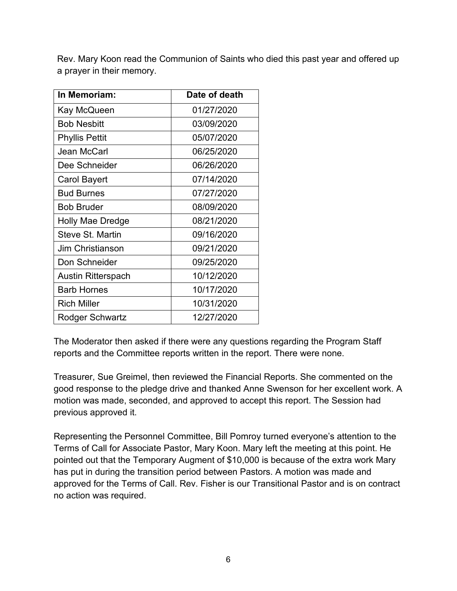Rev. Mary Koon read the Communion of Saints who died this past year and offered up a prayer in their memory.

| In Memoriam:            | Date of death |
|-------------------------|---------------|
| Kay McQueen             | 01/27/2020    |
| <b>Bob Nesbitt</b>      | 03/09/2020    |
| <b>Phyllis Pettit</b>   | 05/07/2020    |
| Jean McCarl             | 06/25/2020    |
| Dee Schneider           | 06/26/2020    |
| <b>Carol Bayert</b>     | 07/14/2020    |
| <b>Bud Burnes</b>       | 07/27/2020    |
| <b>Bob Bruder</b>       | 08/09/2020    |
| <b>Holly Mae Dredge</b> | 08/21/2020    |
| Steve St. Martin        | 09/16/2020    |
| <b>Jim Christianson</b> | 09/21/2020    |
| Don Schneider           | 09/25/2020    |
| Austin Ritterspach      | 10/12/2020    |
| <b>Barb Hornes</b>      | 10/17/2020    |
| <b>Rich Miller</b>      | 10/31/2020    |
| Rodger Schwartz         | 12/27/2020    |

The Moderator then asked if there were any questions regarding the Program Staff reports and the Committee reports written in the report. There were none.

Treasurer, Sue Greimel, then reviewed the Financial Reports. She commented on the good response to the pledge drive and thanked Anne Swenson for her excellent work. A motion was made, seconded, and approved to accept this report. The Session had previous approved it.

Representing the Personnel Committee, Bill Pomroy turned everyone's attention to the Terms of Call for Associate Pastor, Mary Koon. Mary left the meeting at this point. He pointed out that the Temporary Augment of \$10,000 is because of the extra work Mary has put in during the transition period between Pastors. A motion was made and approved for the Terms of Call. Rev. Fisher is our Transitional Pastor and is on contract no action was required.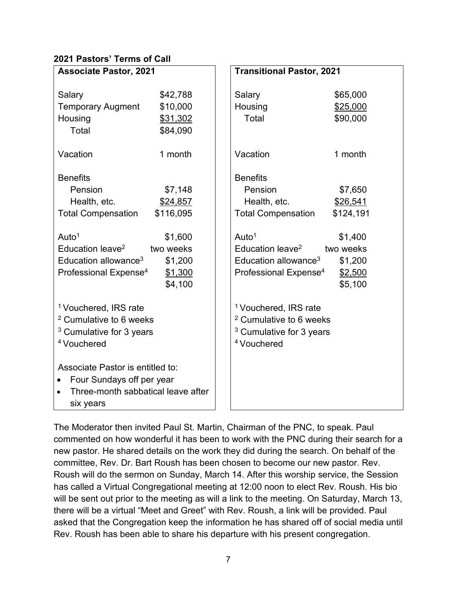#### **2021 Pastors' Terms of Call**

| <b>Associate Pastor, 2021</b>      |           | <b>Transitional Pastor, 2021</b>   |           |  |
|------------------------------------|-----------|------------------------------------|-----------|--|
|                                    |           |                                    |           |  |
| Salary                             | \$42,788  | Salary                             | \$65,000  |  |
| <b>Temporary Augment</b>           | \$10,000  | Housing                            | \$25,000  |  |
| Housing                            | \$31,302  | Total                              | \$90,000  |  |
| Total                              | \$84,090  |                                    |           |  |
|                                    |           |                                    |           |  |
| Vacation                           | 1 month   | Vacation                           | 1 month   |  |
|                                    |           |                                    |           |  |
| <b>Benefits</b>                    |           | <b>Benefits</b>                    |           |  |
| Pension                            | \$7,148   | Pension                            | \$7,650   |  |
| Health, etc.                       | \$24,857  | Health, etc.                       | \$26,541  |  |
| <b>Total Compensation</b>          | \$116,095 | <b>Total Compensation</b>          | \$124,191 |  |
|                                    |           |                                    |           |  |
| Auto $1$                           | \$1,600   | Auto $1$                           | \$1,400   |  |
| Education leave <sup>2</sup>       | two weeks | Education leave <sup>2</sup>       | two weeks |  |
| Education allowance <sup>3</sup>   | \$1,200   | Education allowance <sup>3</sup>   | \$1,200   |  |
| Professional Expense <sup>4</sup>  | \$1,300   | Professional Expense <sup>4</sup>  | \$2,500   |  |
|                                    | \$4,100   |                                    | \$5,100   |  |
|                                    |           |                                    |           |  |
| <sup>1</sup> Vouchered, IRS rate   |           | <sup>1</sup> Vouchered, IRS rate   |           |  |
| <sup>2</sup> Cumulative to 6 weeks |           | <sup>2</sup> Cumulative to 6 weeks |           |  |
|                                    |           |                                    |           |  |
| $3$ Cumulative for 3 years         |           | $3$ Cumulative for 3 years         |           |  |
| <sup>4</sup> Vouchered             |           | <sup>4</sup> Vouchered             |           |  |
|                                    |           |                                    |           |  |
| Associate Pastor is entitled to:   |           |                                    |           |  |
| Four Sundays off per year          |           |                                    |           |  |
| Three-month sabbatical leave after |           |                                    |           |  |
| six years                          |           |                                    |           |  |

The Moderator then invited Paul St. Martin, Chairman of the PNC, to speak. Paul commented on how wonderful it has been to work with the PNC during their search for a new pastor. He shared details on the work they did during the search. On behalf of the committee, Rev. Dr. Bart Roush has been chosen to become our new pastor. Rev. Roush will do the sermon on Sunday, March 14. After this worship service, the Session has called a Virtual Congregational meeting at 12:00 noon to elect Rev. Roush. His bio will be sent out prior to the meeting as will a link to the meeting. On Saturday, March 13, there will be a virtual "Meet and Greet" with Rev. Roush, a link will be provided. Paul asked that the Congregation keep the information he has shared off of social media until Rev. Roush has been able to share his departure with his present congregation.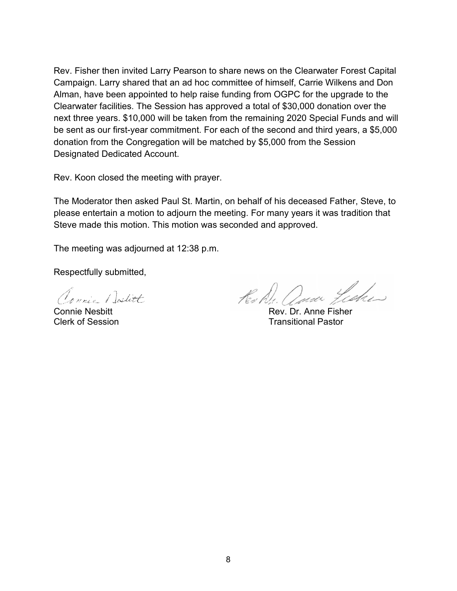Rev. Fisher then invited Larry Pearson to share news on the Clearwater Forest Capital Campaign. Larry shared that an ad hoc committee of himself, Carrie Wilkens and Don Alman, have been appointed to help raise funding from OGPC for the upgrade to the Clearwater facilities. The Session has approved a total of \$30,000 donation over the next three years. \$10,000 will be taken from the remaining 2020 Special Funds and will be sent as our first-year commitment. For each of the second and third years, a \$5,000 donation from the Congregation will be matched by \$5,000 from the Session Designated Dedicated Account.

Rev. Koon closed the meeting with prayer.

The Moderator then asked Paul St. Martin, on behalf of his deceased Father, Steve, to please entertain a motion to adjourn the meeting. For many years it was tradition that Steve made this motion. This motion was seconded and approved.

The meeting was adjourned at 12:38 p.m.

Respectfully submitted,

Connie Dostitt

Kohle. and Fisher

Connie Nesbitt Rev. Dr. Anne Fisher **Transitional Pastor**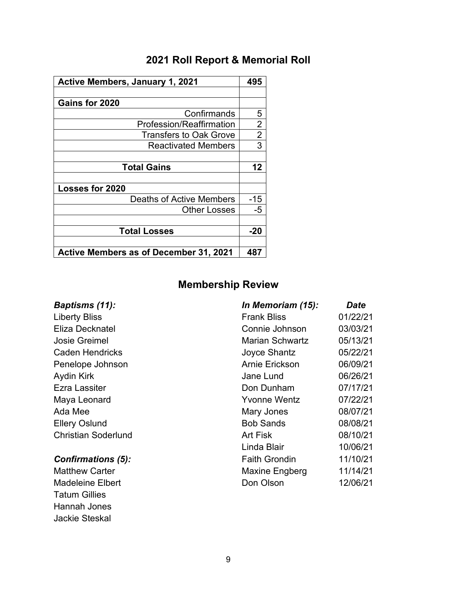## **2021 Roll Report & Memorial Roll**

| <b>Active Members, January 1, 2021</b>        |                |
|-----------------------------------------------|----------------|
|                                               |                |
| Gains for 2020                                |                |
| Confirmands                                   | 5              |
| <b>Profession/Reaffirmation</b>               | $\overline{2}$ |
| <b>Transfers to Oak Grove</b>                 | $\overline{2}$ |
| <b>Reactivated Members</b>                    | 3              |
|                                               |                |
| <b>Total Gains</b>                            | 12             |
|                                               |                |
| <b>Losses for 2020</b>                        |                |
| <b>Deaths of Active Members</b>               | $-15$          |
| <b>Other Losses</b>                           | $-5$           |
|                                               |                |
| <b>Total Losses</b>                           | -20            |
|                                               |                |
| <b>Active Members as of December 31, 2021</b> | 487            |

Tatum Gillies Hannah Jones Jackie Steskal

## **Membership Review**

| <b>Baptisms (11):</b>      | In Memoriam (15):      | <b>Date</b> |
|----------------------------|------------------------|-------------|
| <b>Liberty Bliss</b>       | <b>Frank Bliss</b>     | 01/22/21    |
| Eliza Decknatel            | Connie Johnson         | 03/03/21    |
| Josie Greimel              | <b>Marian Schwartz</b> | 05/13/21    |
| <b>Caden Hendricks</b>     | Joyce Shantz           | 05/22/21    |
| Penelope Johnson           | Arnie Erickson         | 06/09/21    |
| Aydin Kirk                 | Jane Lund              | 06/26/21    |
| Ezra Lassiter              | Don Dunham             | 07/17/21    |
| Maya Leonard               | <b>Yvonne Wentz</b>    | 07/22/21    |
| Ada Mee                    | Mary Jones             | 08/07/21    |
| <b>Ellery Oslund</b>       | <b>Bob Sands</b>       | 08/08/21    |
| <b>Christian Soderlund</b> | <b>Art Fisk</b>        | 08/10/21    |
|                            | Linda Blair            | 10/06/21    |
| <b>Confirmations (5):</b>  | <b>Faith Grondin</b>   | 11/10/21    |
| <b>Matthew Carter</b>      | Maxine Engberg         | 11/14/21    |
| <b>Madeleine Elbert</b>    | Don Olson              | 12/06/21    |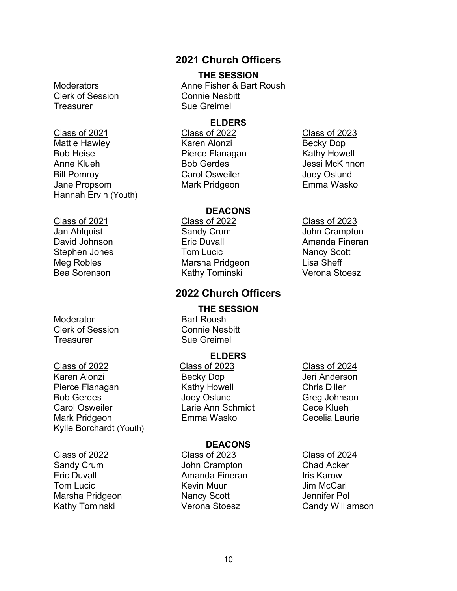## Clerk of Session Connie Nesbitt Treasurer Sue Greimel

Class of 2021 Class of 2022 Class of 2023 Mattie Hawley Karen Alonzi Becky Dop Bob Heise **Pierce Flanagan** Anne Klueh **Bob Gerdes** Bob Gerdes and Bessi McKinnon Bill Pomroy Carol Osweiler Joey Oslund

Hannah Ervin (Youth)

Moderator **Bart Roush** Clerk of Session Connie Nesbitt Treasurer Sue Greimel

Karen Alonzi **Becky Dop** Jeri Anderson Pierce Flanagan Kathy Howell Chris Diller Bob Gerdes Greg Johnson Joey Oslund Greg Johnson Carol Osweiler Larie Ann Schmidt Cece Klueh Mark Pridgeon Emma Wasko Cecelia Laurie Kylie Borchardt (Youth)

Eric Duvall Amanda Fineran Iris Karow **Tom Lucic Communist Communist Communist Communist Communist Communist Communist Communist Communist Communist Communist Communist Communist Communist Communist Communist Communist Communist Communist Communist Communist** Marsha Pridgeon Nancy Scott Jennifer Pol Kathy Tominski **Verona Stoesz** Candy Williamson

#### **2021 Church Officers**

#### **THE SESSION**

Moderators **Anne Fisher & Bart Roush** 

#### **ELDERS**

Jane Propsom Mark Pridgeon Emma Wasko

#### **DEACONS**

Class of 2021 Class of 2022 Class of 2023 Jan Ahlquist Sandy Crum John Crampton David Johnson Eric Duvall Amanda Fineran Stephen Jones **Tom Lucic** Tom Lucic Nancy Scott Meg Robles **Marsha Pridgeon** Lisa Sheff Bea Sorenson **Kathy Tominski** Verona Stoesz

#### **2022 Church Officers**

# **THE SESSION**

#### **ELDERS**

Class of 2022 Class of 2023 Class of 2024

#### **DEACONS**

- Class of 2022 Class of 2023 Class of 2024 John Crampton
	-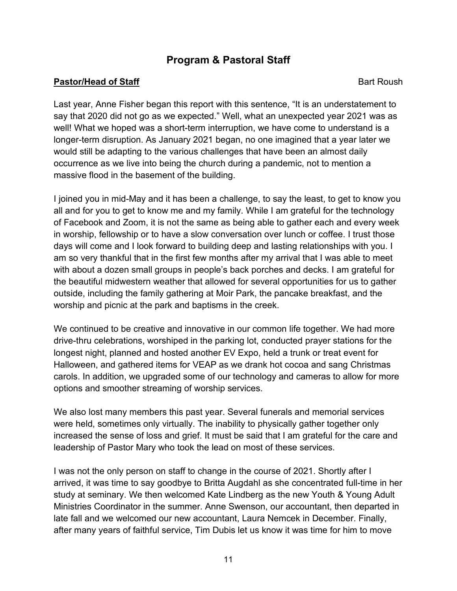### **Program & Pastoral Staff**

#### **Pastor/Head of Staff** Bart Roush Bart Roush

Last year, Anne Fisher began this report with this sentence, "It is an understatement to say that 2020 did not go as we expected." Well, what an unexpected year 2021 was as well! What we hoped was a short-term interruption, we have come to understand is a longer-term disruption. As January 2021 began, no one imagined that a year later we would still be adapting to the various challenges that have been an almost daily occurrence as we live into being the church during a pandemic, not to mention a massive flood in the basement of the building.

I joined you in mid-May and it has been a challenge, to say the least, to get to know you all and for you to get to know me and my family. While I am grateful for the technology of Facebook and Zoom, it is not the same as being able to gather each and every week in worship, fellowship or to have a slow conversation over lunch or coffee. I trust those days will come and I look forward to building deep and lasting relationships with you. I am so very thankful that in the first few months after my arrival that I was able to meet with about a dozen small groups in people's back porches and decks. I am grateful for the beautiful midwestern weather that allowed for several opportunities for us to gather outside, including the family gathering at Moir Park, the pancake breakfast, and the worship and picnic at the park and baptisms in the creek.

We continued to be creative and innovative in our common life together. We had more drive-thru celebrations, worshiped in the parking lot, conducted prayer stations for the longest night, planned and hosted another EV Expo, held a trunk or treat event for Halloween, and gathered items for VEAP as we drank hot cocoa and sang Christmas carols. In addition, we upgraded some of our technology and cameras to allow for more options and smoother streaming of worship services.

We also lost many members this past year. Several funerals and memorial services were held, sometimes only virtually. The inability to physically gather together only increased the sense of loss and grief. It must be said that I am grateful for the care and leadership of Pastor Mary who took the lead on most of these services.

I was not the only person on staff to change in the course of 2021. Shortly after I arrived, it was time to say goodbye to Britta Augdahl as she concentrated full-time in her study at seminary. We then welcomed Kate Lindberg as the new Youth & Young Adult Ministries Coordinator in the summer. Anne Swenson, our accountant, then departed in late fall and we welcomed our new accountant, Laura Nemcek in December. Finally, after many years of faithful service, Tim Dubis let us know it was time for him to move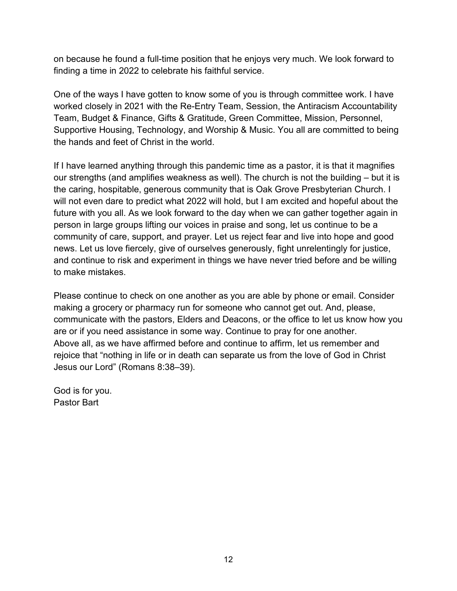on because he found a full-time position that he enjoys very much. We look forward to finding a time in 2022 to celebrate his faithful service.

One of the ways I have gotten to know some of you is through committee work. I have worked closely in 2021 with the Re-Entry Team, Session, the Antiracism Accountability Team, Budget & Finance, Gifts & Gratitude, Green Committee, Mission, Personnel, Supportive Housing, Technology, and Worship & Music. You all are committed to being the hands and feet of Christ in the world.

If I have learned anything through this pandemic time as a pastor, it is that it magnifies our strengths (and amplifies weakness as well). The church is not the building – but it is the caring, hospitable, generous community that is Oak Grove Presbyterian Church. I will not even dare to predict what 2022 will hold, but I am excited and hopeful about the future with you all. As we look forward to the day when we can gather together again in person in large groups lifting our voices in praise and song, let us continue to be a community of care, support, and prayer. Let us reject fear and live into hope and good news. Let us love fiercely, give of ourselves generously, fight unrelentingly for justice, and continue to risk and experiment in things we have never tried before and be willing to make mistakes.

Please continue to check on one another as you are able by phone or email. Consider making a grocery or pharmacy run for someone who cannot get out. And, please, communicate with the pastors, Elders and Deacons, or the office to let us know how you are or if you need assistance in some way. Continue to pray for one another. Above all, as we have affirmed before and continue to affirm, let us remember and rejoice that "nothing in life or in death can separate us from the love of God in Christ Jesus our Lord" (Romans 8:38–39).

God is for you. Pastor Bart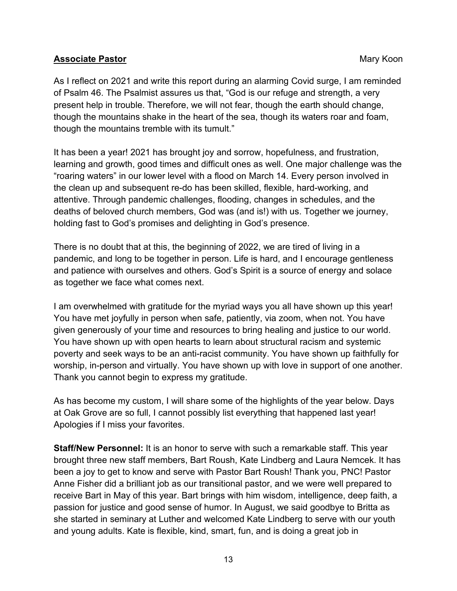#### **Associate Pastor** Mary Koon

As I reflect on 2021 and write this report during an alarming Covid surge, I am reminded of Psalm 46. The Psalmist assures us that, "God is our refuge and strength, a very present help in trouble. Therefore, we will not fear, though the earth should change, though the mountains shake in the heart of the sea, though its waters roar and foam, though the mountains tremble with its tumult."

It has been a year! 2021 has brought joy and sorrow, hopefulness, and frustration, learning and growth, good times and difficult ones as well. One major challenge was the "roaring waters" in our lower level with a flood on March 14. Every person involved in the clean up and subsequent re-do has been skilled, flexible, hard-working, and attentive. Through pandemic challenges, flooding, changes in schedules, and the deaths of beloved church members, God was (and is!) with us. Together we journey, holding fast to God's promises and delighting in God's presence.

There is no doubt that at this, the beginning of 2022, we are tired of living in a pandemic, and long to be together in person. Life is hard, and I encourage gentleness and patience with ourselves and others. God's Spirit is a source of energy and solace as together we face what comes next.

I am overwhelmed with gratitude for the myriad ways you all have shown up this year! You have met joyfully in person when safe, patiently, via zoom, when not. You have given generously of your time and resources to bring healing and justice to our world. You have shown up with open hearts to learn about structural racism and systemic poverty and seek ways to be an anti-racist community. You have shown up faithfully for worship, in-person and virtually. You have shown up with love in support of one another. Thank you cannot begin to express my gratitude.

As has become my custom, I will share some of the highlights of the year below. Days at Oak Grove are so full, I cannot possibly list everything that happened last year! Apologies if I miss your favorites.

**Staff/New Personnel:** It is an honor to serve with such a remarkable staff. This year brought three new staff members, Bart Roush, Kate Lindberg and Laura Nemcek. It has been a joy to get to know and serve with Pastor Bart Roush! Thank you, PNC! Pastor Anne Fisher did a brilliant job as our transitional pastor, and we were well prepared to receive Bart in May of this year. Bart brings with him wisdom, intelligence, deep faith, a passion for justice and good sense of humor. In August, we said goodbye to Britta as she started in seminary at Luther and welcomed Kate Lindberg to serve with our youth and young adults. Kate is flexible, kind, smart, fun, and is doing a great job in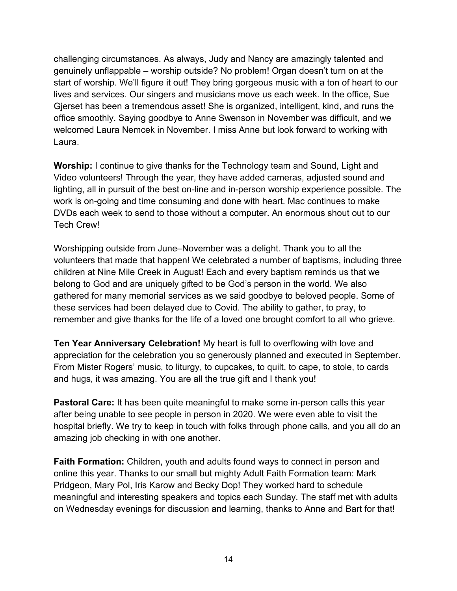challenging circumstances. As always, Judy and Nancy are amazingly talented and genuinely unflappable – worship outside? No problem! Organ doesn't turn on at the start of worship. We'll figure it out! They bring gorgeous music with a ton of heart to our lives and services. Our singers and musicians move us each week. In the office, Sue Gjerset has been a tremendous asset! She is organized, intelligent, kind, and runs the office smoothly. Saying goodbye to Anne Swenson in November was difficult, and we welcomed Laura Nemcek in November. I miss Anne but look forward to working with Laura.

**Worship:** I continue to give thanks for the Technology team and Sound, Light and Video volunteers! Through the year, they have added cameras, adjusted sound and lighting, all in pursuit of the best on-line and in-person worship experience possible. The work is on-going and time consuming and done with heart. Mac continues to make DVDs each week to send to those without a computer. An enormous shout out to our Tech Crew!

Worshipping outside from June–November was a delight. Thank you to all the volunteers that made that happen! We celebrated a number of baptisms, including three children at Nine Mile Creek in August! Each and every baptism reminds us that we belong to God and are uniquely gifted to be God's person in the world. We also gathered for many memorial services as we said goodbye to beloved people. Some of these services had been delayed due to Covid. The ability to gather, to pray, to remember and give thanks for the life of a loved one brought comfort to all who grieve.

**Ten Year Anniversary Celebration!** My heart is full to overflowing with love and appreciation for the celebration you so generously planned and executed in September. From Mister Rogers' music, to liturgy, to cupcakes, to quilt, to cape, to stole, to cards and hugs, it was amazing. You are all the true gift and I thank you!

**Pastoral Care:** It has been quite meaningful to make some in-person calls this year after being unable to see people in person in 2020. We were even able to visit the hospital briefly. We try to keep in touch with folks through phone calls, and you all do an amazing job checking in with one another.

**Faith Formation:** Children, youth and adults found ways to connect in person and online this year. Thanks to our small but mighty Adult Faith Formation team: Mark Pridgeon, Mary Pol, Iris Karow and Becky Dop! They worked hard to schedule meaningful and interesting speakers and topics each Sunday. The staff met with adults on Wednesday evenings for discussion and learning, thanks to Anne and Bart for that!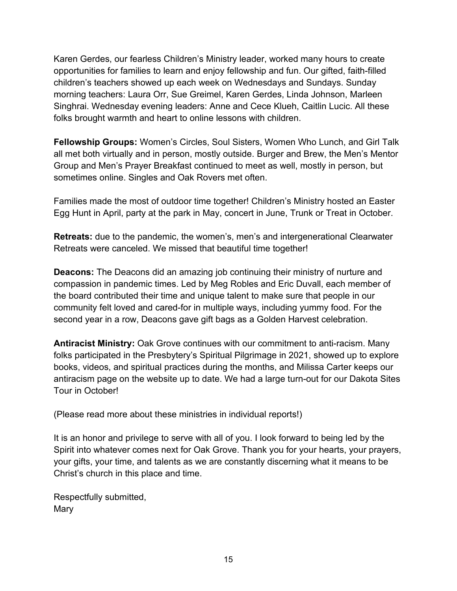Karen Gerdes, our fearless Children's Ministry leader, worked many hours to create opportunities for families to learn and enjoy fellowship and fun. Our gifted, faith-filled children's teachers showed up each week on Wednesdays and Sundays. Sunday morning teachers: Laura Orr, Sue Greimel, Karen Gerdes, Linda Johnson, Marleen Singhrai. Wednesday evening leaders: Anne and Cece Klueh, Caitlin Lucic. All these folks brought warmth and heart to online lessons with children.

**Fellowship Groups:** Women's Circles, Soul Sisters, Women Who Lunch, and Girl Talk all met both virtually and in person, mostly outside. Burger and Brew, the Men's Mentor Group and Men's Prayer Breakfast continued to meet as well, mostly in person, but sometimes online. Singles and Oak Rovers met often.

Families made the most of outdoor time together! Children's Ministry hosted an Easter Egg Hunt in April, party at the park in May, concert in June, Trunk or Treat in October.

**Retreats:** due to the pandemic, the women's, men's and intergenerational Clearwater Retreats were canceled. We missed that beautiful time together!

**Deacons:** The Deacons did an amazing job continuing their ministry of nurture and compassion in pandemic times. Led by Meg Robles and Eric Duvall, each member of the board contributed their time and unique talent to make sure that people in our community felt loved and cared-for in multiple ways, including yummy food. For the second year in a row, Deacons gave gift bags as a Golden Harvest celebration.

**Antiracist Ministry:** Oak Grove continues with our commitment to anti-racism. Many folks participated in the Presbytery's Spiritual Pilgrimage in 2021, showed up to explore books, videos, and spiritual practices during the months, and Milissa Carter keeps our antiracism page on the website up to date. We had a large turn-out for our Dakota Sites Tour in October!

(Please read more about these ministries in individual reports!)

It is an honor and privilege to serve with all of you. I look forward to being led by the Spirit into whatever comes next for Oak Grove. Thank you for your hearts, your prayers, your gifts, your time, and talents as we are constantly discerning what it means to be Christ's church in this place and time.

Respectfully submitted, Mary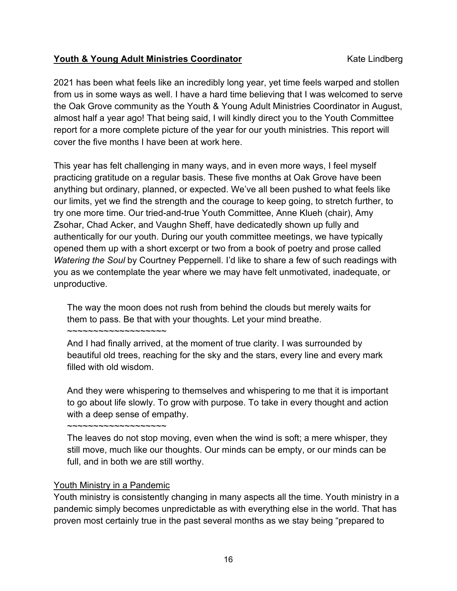#### **Youth & Young Adult Ministries Coordinator** Manusconnel Mate Lindberg

2021 has been what feels like an incredibly long year, yet time feels warped and stollen from us in some ways as well. I have a hard time believing that I was welcomed to serve the Oak Grove community as the Youth & Young Adult Ministries Coordinator in August, almost half a year ago! That being said, I will kindly direct you to the Youth Committee report for a more complete picture of the year for our youth ministries. This report will cover the five months I have been at work here.

This year has felt challenging in many ways, and in even more ways, I feel myself practicing gratitude on a regular basis. These five months at Oak Grove have been anything but ordinary, planned, or expected. We've all been pushed to what feels like our limits, yet we find the strength and the courage to keep going, to stretch further, to try one more time. Our tried-and-true Youth Committee, Anne Klueh (chair), Amy Zsohar, Chad Acker, and Vaughn Sheff, have dedicatedly shown up fully and authentically for our youth. During our youth committee meetings, we have typically opened them up with a short excerpt or two from a book of poetry and prose called *Watering the Soul* by Courtney Peppernell. I'd like to share a few of such readings with you as we contemplate the year where we may have felt unmotivated, inadequate, or unproductive.

The way the moon does not rush from behind the clouds but merely waits for them to pass. Be that with your thoughts. Let your mind breathe.

And I had finally arrived, at the moment of true clarity. I was surrounded by beautiful old trees, reaching for the sky and the stars, every line and every mark filled with old wisdom.

And they were whispering to themselves and whispering to me that it is important to go about life slowly. To grow with purpose. To take in every thought and action with a deep sense of empathy.

The leaves do not stop moving, even when the wind is soft; a mere whisper, they still move, much like our thoughts. Our minds can be empty, or our minds can be full, and in both we are still worthy.

#### Youth Ministry in a Pandemic

~~~~~~~~~~~~~~~~~~~

~~~~~~~~~~~~~~~~~~~

Youth ministry is consistently changing in many aspects all the time. Youth ministry in a pandemic simply becomes unpredictable as with everything else in the world. That has proven most certainly true in the past several months as we stay being "prepared to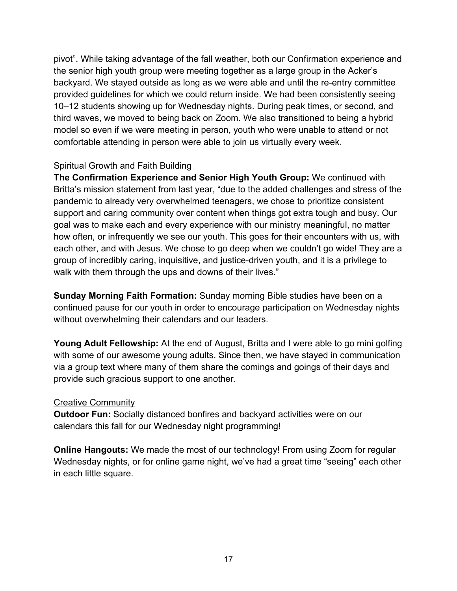pivot". While taking advantage of the fall weather, both our Confirmation experience and the senior high youth group were meeting together as a large group in the Acker's backyard. We stayed outside as long as we were able and until the re-entry committee provided guidelines for which we could return inside. We had been consistently seeing 10–12 students showing up for Wednesday nights. During peak times, or second, and third waves, we moved to being back on Zoom. We also transitioned to being a hybrid model so even if we were meeting in person, youth who were unable to attend or not comfortable attending in person were able to join us virtually every week.

#### Spiritual Growth and Faith Building

**The Confirmation Experience and Senior High Youth Group:** We continued with Britta's mission statement from last year, "due to the added challenges and stress of the pandemic to already very overwhelmed teenagers, we chose to prioritize consistent support and caring community over content when things got extra tough and busy. Our goal was to make each and every experience with our ministry meaningful, no matter how often, or infrequently we see our youth. This goes for their encounters with us, with each other, and with Jesus. We chose to go deep when we couldn't go wide! They are a group of incredibly caring, inquisitive, and justice-driven youth, and it is a privilege to walk with them through the ups and downs of their lives."

**Sunday Morning Faith Formation:** Sunday morning Bible studies have been on a continued pause for our youth in order to encourage participation on Wednesday nights without overwhelming their calendars and our leaders.

**Young Adult Fellowship:** At the end of August, Britta and I were able to go mini golfing with some of our awesome young adults. Since then, we have stayed in communication via a group text where many of them share the comings and goings of their days and provide such gracious support to one another.

#### Creative Community

**Outdoor Fun:** Socially distanced bonfires and backyard activities were on our calendars this fall for our Wednesday night programming!

**Online Hangouts:** We made the most of our technology! From using Zoom for regular Wednesday nights, or for online game night, we've had a great time "seeing" each other in each little square.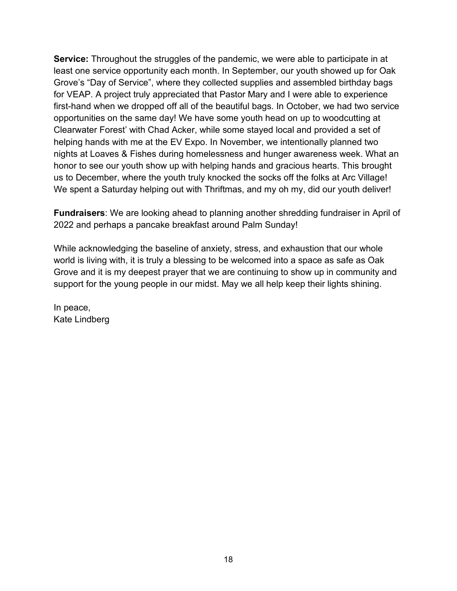**Service:** Throughout the struggles of the pandemic, we were able to participate in at least one service opportunity each month. In September, our youth showed up for Oak Grove's "Day of Service", where they collected supplies and assembled birthday bags for VEAP. A project truly appreciated that Pastor Mary and I were able to experience first-hand when we dropped off all of the beautiful bags. In October, we had two service opportunities on the same day! We have some youth head on up to woodcutting at Clearwater Forest' with Chad Acker, while some stayed local and provided a set of helping hands with me at the EV Expo. In November, we intentionally planned two nights at Loaves & Fishes during homelessness and hunger awareness week. What an honor to see our youth show up with helping hands and gracious hearts. This brought us to December, where the youth truly knocked the socks off the folks at Arc Village! We spent a Saturday helping out with Thriftmas, and my oh my, did our youth deliver!

**Fundraisers**: We are looking ahead to planning another shredding fundraiser in April of 2022 and perhaps a pancake breakfast around Palm Sunday!

While acknowledging the baseline of anxiety, stress, and exhaustion that our whole world is living with, it is truly a blessing to be welcomed into a space as safe as Oak Grove and it is my deepest prayer that we are continuing to show up in community and support for the young people in our midst. May we all help keep their lights shining.

In peace, Kate Lindberg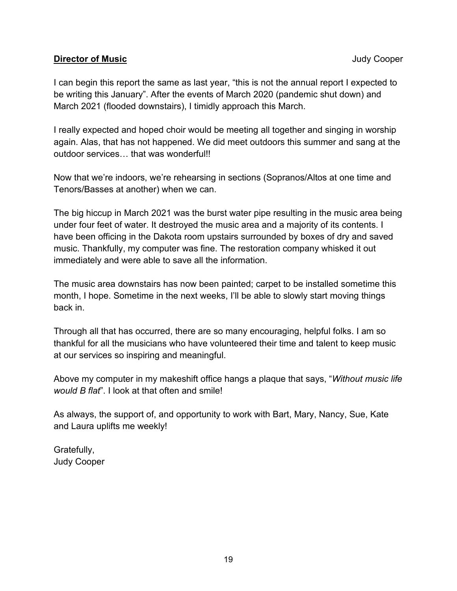#### **Director of Music Director of Music Judy Cooper**

I can begin this report the same as last year, "this is not the annual report I expected to be writing this January". After the events of March 2020 (pandemic shut down) and March 2021 (flooded downstairs), I timidly approach this March.

I really expected and hoped choir would be meeting all together and singing in worship again. Alas, that has not happened. We did meet outdoors this summer and sang at the outdoor services… that was wonderful!!

Now that we're indoors, we're rehearsing in sections (Sopranos/Altos at one time and Tenors/Basses at another) when we can.

The big hiccup in March 2021 was the burst water pipe resulting in the music area being under four feet of water. It destroyed the music area and a majority of its contents. I have been officing in the Dakota room upstairs surrounded by boxes of dry and saved music. Thankfully, my computer was fine. The restoration company whisked it out immediately and were able to save all the information.

The music area downstairs has now been painted; carpet to be installed sometime this month, I hope. Sometime in the next weeks, I'll be able to slowly start moving things back in.

Through all that has occurred, there are so many encouraging, helpful folks. I am so thankful for all the musicians who have volunteered their time and talent to keep music at our services so inspiring and meaningful.

Above my computer in my makeshift office hangs a plaque that says, "*Without music life would B flat*". I look at that often and smile!

As always, the support of, and opportunity to work with Bart, Mary, Nancy, Sue, Kate and Laura uplifts me weekly!

Gratefully, Judy Cooper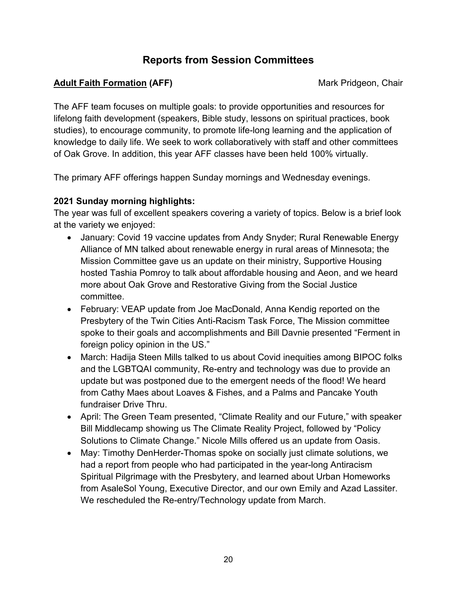## **Reports from Session Committees**

#### **Adult Faith Formation (AFF)** Mark Pridgeon, Chair

The AFF team focuses on multiple goals: to provide opportunities and resources for lifelong faith development (speakers, Bible study, lessons on spiritual practices, book studies), to encourage community, to promote life-long learning and the application of knowledge to daily life. We seek to work collaboratively with staff and other committees of Oak Grove. In addition, this year AFF classes have been held 100% virtually.

The primary AFF offerings happen Sunday mornings and Wednesday evenings.

#### **2021 Sunday morning highlights:**

The year was full of excellent speakers covering a variety of topics. Below is a brief look at the variety we enjoyed:

- January: Covid 19 vaccine updates from Andy Snyder; Rural Renewable Energy Alliance of MN talked about renewable energy in rural areas of Minnesota; the Mission Committee gave us an update on their ministry, Supportive Housing hosted Tashia Pomroy to talk about affordable housing and Aeon, and we heard more about Oak Grove and Restorative Giving from the Social Justice committee.
- February: VEAP update from Joe MacDonald, Anna Kendig reported on the Presbytery of the Twin Cities Anti-Racism Task Force, The Mission committee spoke to their goals and accomplishments and Bill Davnie presented "Ferment in foreign policy opinion in the US."
- March: Hadija Steen Mills talked to us about Covid inequities among BIPOC folks and the LGBTQAI community, Re-entry and technology was due to provide an update but was postponed due to the emergent needs of the flood! We heard from Cathy Maes about Loaves & Fishes, and a Palms and Pancake Youth fundraiser Drive Thru.
- April: The Green Team presented, "Climate Reality and our Future," with speaker Bill Middlecamp showing us The Climate Reality Project, followed by "Policy Solutions to Climate Change." Nicole Mills offered us an update from Oasis.
- May: Timothy DenHerder-Thomas spoke on socially just climate solutions, we had a report from people who had participated in the year-long Antiracism Spiritual Pilgrimage with the Presbytery, and learned about Urban Homeworks from AsaleSol Young, Executive Director, and our own Emily and Azad Lassiter. We rescheduled the Re-entry/Technology update from March.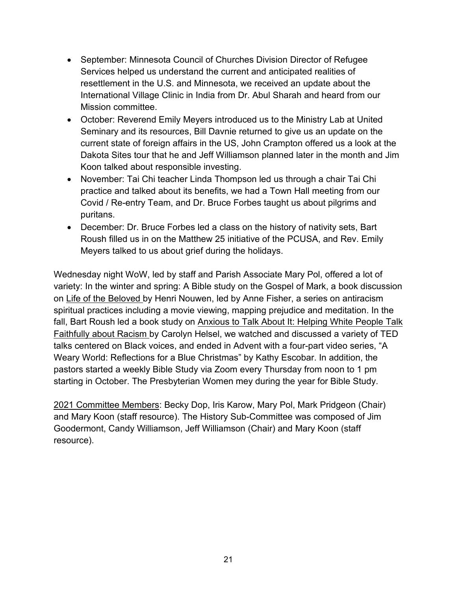- September: Minnesota Council of Churches Division Director of Refugee Services helped us understand the current and anticipated realities of resettlement in the U.S. and Minnesota, we received an update about the International Village Clinic in India from Dr. Abul Sharah and heard from our Mission committee.
- October: Reverend Emily Meyers introduced us to the Ministry Lab at United Seminary and its resources, Bill Davnie returned to give us an update on the current state of foreign affairs in the US, John Crampton offered us a look at the Dakota Sites tour that he and Jeff Williamson planned later in the month and Jim Koon talked about responsible investing.
- November: Tai Chi teacher Linda Thompson led us through a chair Tai Chi practice and talked about its benefits, we had a Town Hall meeting from our Covid / Re-entry Team, and Dr. Bruce Forbes taught us about pilgrims and puritans.
- December: Dr. Bruce Forbes led a class on the history of nativity sets, Bart Roush filled us in on the Matthew 25 initiative of the PCUSA, and Rev. Emily Meyers talked to us about grief during the holidays.

Wednesday night WoW, led by staff and Parish Associate Mary Pol, offered a lot of variety: In the winter and spring: A Bible study on the Gospel of Mark, a book discussion on Life of the Beloved by Henri Nouwen, led by Anne Fisher, a series on antiracism spiritual practices including a movie viewing, mapping prejudice and meditation. In the fall, Bart Roush led a book study on Anxious to Talk About It: Helping White People Talk Faithfully about Racism by Carolyn Helsel, we watched and discussed a variety of TED talks centered on Black voices, and ended in Advent with a four-part video series, "A Weary World: Reflections for a Blue Christmas" by Kathy Escobar. In addition, the pastors started a weekly Bible Study via Zoom every Thursday from noon to 1 pm starting in October. The Presbyterian Women mey during the year for Bible Study.

2021 Committee Members: Becky Dop, Iris Karow, Mary Pol, Mark Pridgeon (Chair) and Mary Koon (staff resource). The History Sub-Committee was composed of Jim Goodermont, Candy Williamson, Jeff Williamson (Chair) and Mary Koon (staff resource).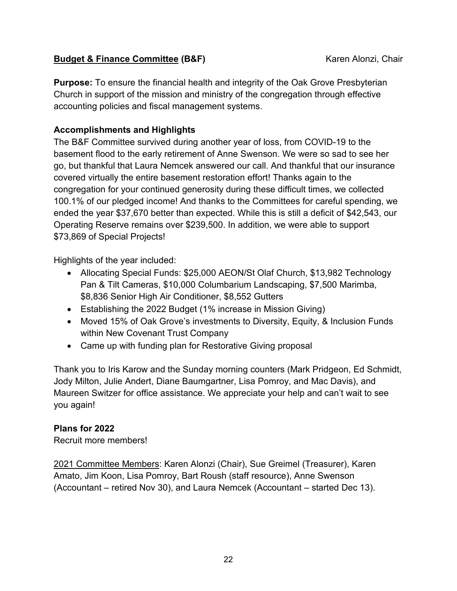#### **Budget & Finance Committee (B&F)** Karen Alonzi, Chair

**Purpose:** To ensure the financial health and integrity of the Oak Grove Presbyterian Church in support of the mission and ministry of the congregation through effective accounting policies and fiscal management systems.

#### **Accomplishments and Highlights**

The B&F Committee survived during another year of loss, from COVID-19 to the basement flood to the early retirement of Anne Swenson. We were so sad to see her go, but thankful that Laura Nemcek answered our call. And thankful that our insurance covered virtually the entire basement restoration effort! Thanks again to the congregation for your continued generosity during these difficult times, we collected 100.1% of our pledged income! And thanks to the Committees for careful spending, we ended the year \$37,670 better than expected. While this is still a deficit of \$42,543, our Operating Reserve remains over \$239,500. In addition, we were able to support \$73,869 of Special Projects!

Highlights of the year included:

- Allocating Special Funds: \$25,000 AEON/St Olaf Church, \$13,982 Technology Pan & Tilt Cameras, \$10,000 Columbarium Landscaping, \$7,500 Marimba, \$8,836 Senior High Air Conditioner, \$8,552 Gutters
- Establishing the 2022 Budget (1% increase in Mission Giving)
- Moved 15% of Oak Grove's investments to Diversity, Equity, & Inclusion Funds within New Covenant Trust Company
- Came up with funding plan for Restorative Giving proposal

Thank you to Iris Karow and the Sunday morning counters (Mark Pridgeon, Ed Schmidt, Jody Milton, Julie Andert, Diane Baumgartner, Lisa Pomroy, and Mac Davis), and Maureen Switzer for office assistance. We appreciate your help and can't wait to see you again!

#### **Plans for 2022**

Recruit more members!

2021 Committee Members: Karen Alonzi (Chair), Sue Greimel (Treasurer), Karen Amato, Jim Koon, Lisa Pomroy, Bart Roush (staff resource), Anne Swenson (Accountant – retired Nov 30), and Laura Nemcek (Accountant – started Dec 13).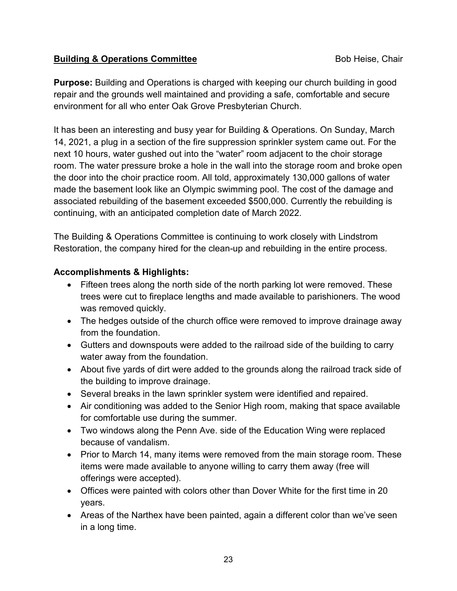#### **Building & Operations Committee Bob Heise, Chair Committee Bob Heise, Chair**

**Purpose:** Building and Operations is charged with keeping our church building in good repair and the grounds well maintained and providing a safe, comfortable and secure environment for all who enter Oak Grove Presbyterian Church.

It has been an interesting and busy year for Building & Operations. On Sunday, March 14, 2021, a plug in a section of the fire suppression sprinkler system came out. For the next 10 hours, water gushed out into the "water" room adjacent to the choir storage room. The water pressure broke a hole in the wall into the storage room and broke open the door into the choir practice room. All told, approximately 130,000 gallons of water made the basement look like an Olympic swimming pool. The cost of the damage and associated rebuilding of the basement exceeded \$500,000. Currently the rebuilding is continuing, with an anticipated completion date of March 2022.

The Building & Operations Committee is continuing to work closely with Lindstrom Restoration, the company hired for the clean-up and rebuilding in the entire process.

#### **Accomplishments & Highlights:**

- Fifteen trees along the north side of the north parking lot were removed. These trees were cut to fireplace lengths and made available to parishioners. The wood was removed quickly.
- The hedges outside of the church office were removed to improve drainage away from the foundation.
- Gutters and downspouts were added to the railroad side of the building to carry water away from the foundation.
- About five yards of dirt were added to the grounds along the railroad track side of the building to improve drainage.
- Several breaks in the lawn sprinkler system were identified and repaired.
- Air conditioning was added to the Senior High room, making that space available for comfortable use during the summer.
- Two windows along the Penn Ave. side of the Education Wing were replaced because of vandalism.
- Prior to March 14, many items were removed from the main storage room. These items were made available to anyone willing to carry them away (free will offerings were accepted).
- Offices were painted with colors other than Dover White for the first time in 20 years.
- Areas of the Narthex have been painted, again a different color than we've seen in a long time.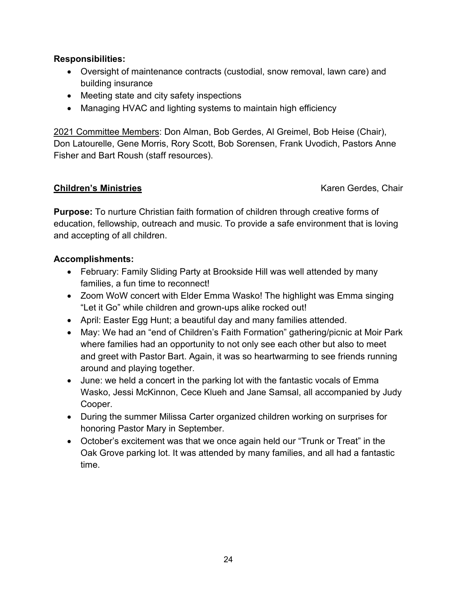#### **Responsibilities:**

- Oversight of maintenance contracts (custodial, snow removal, lawn care) and building insurance
- Meeting state and city safety inspections
- Managing HVAC and lighting systems to maintain high efficiency

2021 Committee Members: Don Alman, Bob Gerdes, Al Greimel, Bob Heise (Chair), Don Latourelle, Gene Morris, Rory Scott, Bob Sorensen, Frank Uvodich, Pastors Anne Fisher and Bart Roush (staff resources).

#### **Children's Ministries Chair Children's Ministries Karen Gerdes, Chair**

**Purpose:** To nurture Christian faith formation of children through creative forms of education, fellowship, outreach and music. To provide a safe environment that is loving and accepting of all children.

#### **Accomplishments:**

- February: Family Sliding Party at Brookside Hill was well attended by many families, a fun time to reconnect!
- Zoom WoW concert with Elder Emma Wasko! The highlight was Emma singing "Let it Go" while children and grown-ups alike rocked out!
- April: Easter Egg Hunt; a beautiful day and many families attended.
- May: We had an "end of Children's Faith Formation" gathering/picnic at Moir Park where families had an opportunity to not only see each other but also to meet and greet with Pastor Bart. Again, it was so heartwarming to see friends running around and playing together.
- June: we held a concert in the parking lot with the fantastic vocals of Emma Wasko, Jessi McKinnon, Cece Klueh and Jane Samsal, all accompanied by Judy Cooper.
- During the summer Milissa Carter organized children working on surprises for honoring Pastor Mary in September.
- October's excitement was that we once again held our "Trunk or Treat" in the Oak Grove parking lot. It was attended by many families, and all had a fantastic time.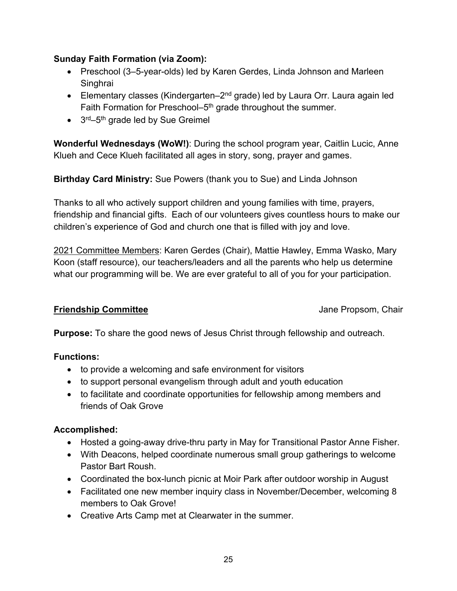#### **Sunday Faith Formation (via Zoom):**

- Preschool (3–5-year-olds) led by Karen Gerdes, Linda Johnson and Marleen **Singhrai**
- Elementary classes (Kindergarten– $2<sup>nd</sup>$  grade) led by Laura Orr. Laura again led Faith Formation for Preschool–5<sup>th</sup> grade throughout the summer.
- $\bullet$  3<sup>rd</sup>–5<sup>th</sup> grade led by Sue Greimel

**Wonderful Wednesdays (WoW!)**: During the school program year, Caitlin Lucic, Anne Klueh and Cece Klueh facilitated all ages in story, song, prayer and games.

**Birthday Card Ministry:** Sue Powers (thank you to Sue) and Linda Johnson

Thanks to all who actively support children and young families with time, prayers, friendship and financial gifts. Each of our volunteers gives countless hours to make our children's experience of God and church one that is filled with joy and love.

2021 Committee Members: Karen Gerdes (Chair), Mattie Hawley, Emma Wasko, Mary Koon (staff resource), our teachers/leaders and all the parents who help us determine what our programming will be. We are ever grateful to all of you for your participation.

#### **Friendship Committee Jane Propsom, Chair**

**Purpose:** To share the good news of Jesus Christ through fellowship and outreach.

#### **Functions:**

- to provide a welcoming and safe environment for visitors
- to support personal evangelism through adult and youth education
- to facilitate and coordinate opportunities for fellowship among members and friends of Oak Grove

#### **Accomplished:**

- Hosted a going-away drive-thru party in May for Transitional Pastor Anne Fisher.
- With Deacons, helped coordinate numerous small group gatherings to welcome Pastor Bart Roush.
- Coordinated the box-lunch picnic at Moir Park after outdoor worship in August
- Facilitated one new member inquiry class in November/December, welcoming 8 members to Oak Grove!
- Creative Arts Camp met at Clearwater in the summer.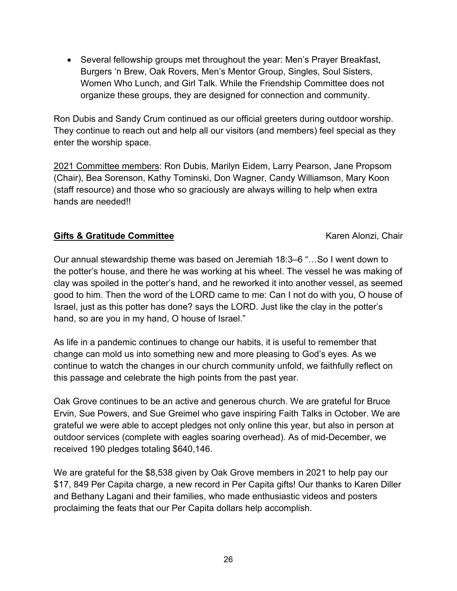• Several fellowship groups met throughout the year: Men's Prayer Breakfast, Burgers 'n Brew, Oak Rovers, Men's Mentor Group, Singles, Soul Sisters, Women Who Lunch, and Girl Talk. While the Friendship Committee does not organize these groups, they are designed for connection and community.

Ron Dubis and Sandy Crum continued as our official greeters during outdoor worship. They continue to reach out and help all our visitors (and members) feel special as they enter the worship space.

2021 Committee members: Ron Dubis, Marilyn Eidem, Larry Pearson, Jane Propsom (Chair), Bea Sorenson, Kathy Tominski, Don Wagner, Candy Williamson, Mary Koon (staff resource) and those who so graciously are always willing to help when extra hands are needed!!

#### **Gifts & Gratitude Committee Karen Alonzi, Chair Karen Alonzi**, Chair

Our annual stewardship theme was based on Jeremiah 18:3–6 "…So I went down to the potter's house, and there he was working at his wheel. The vessel he was making of clay was spoiled in the potter's hand, and he reworked it into another vessel, as seemed good to him. Then the word of the LORD came to me: Can I not do with you, O house of Israel, just as this potter has done? says the LORD. Just like the clay in the potter's hand, so are you in my hand, O house of Israel."

As life in a pandemic continues to change our habits, it is useful to remember that change can mold us into something new and more pleasing to God's eyes. As we continue to watch the changes in our church community unfold, we faithfully reflect on this passage and celebrate the high points from the past year.

Oak Grove continues to be an active and generous church. We are grateful for Bruce Ervin, Sue Powers, and Sue Greimel who gave inspiring Faith Talks in October. We are grateful we were able to accept pledges not only online this year, but also in person at outdoor services (complete with eagles soaring overhead). As of mid-December, we received 190 pledges totaling \$640,146.

We are grateful for the \$8,538 given by Oak Grove members in 2021 to help pay our \$17, 849 Per Capita charge, a new record in Per Capita gifts! Our thanks to Karen Diller and Bethany Lagani and their families, who made enthusiastic videos and posters proclaiming the feats that our Per Capita dollars help accomplish.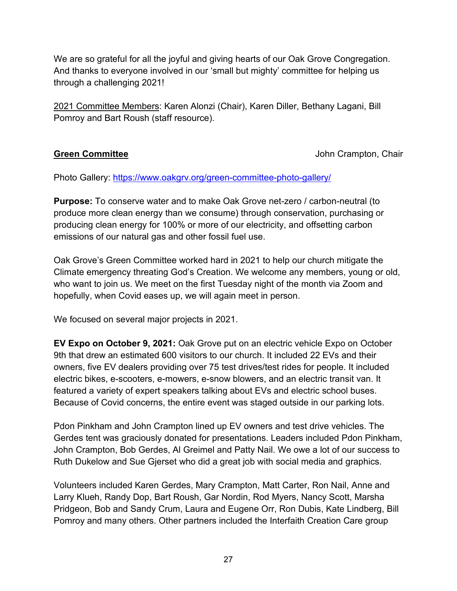We are so grateful for all the joyful and giving hearts of our Oak Grove Congregation. And thanks to everyone involved in our 'small but mighty' committee for helping us through a challenging 2021!

2021 Committee Members: Karen Alonzi (Chair), Karen Diller, Bethany Lagani, Bill Pomroy and Bart Roush (staff resource).

**Green Committee Committee Committee Committee Committee Committee Committee Committee Committee Committee Commit** 

Photo Gallery:<https://www.oakgrv.org/green-committee-photo-gallery/>

**Purpose:** To conserve water and to make Oak Grove net-zero / carbon-neutral (to produce more clean energy than we consume) through conservation, purchasing or producing clean energy for 100% or more of our electricity, and offsetting carbon emissions of our natural gas and other fossil fuel use.

Oak Grove's Green Committee worked hard in 2021 to help our church mitigate the Climate emergency threating God's Creation. We welcome any members, young or old, who want to join us. We meet on the first Tuesday night of the month via Zoom and hopefully, when Covid eases up, we will again meet in person.

We focused on several major projects in 2021.

**EV Expo on October 9, 2021:** Oak Grove put on an electric vehicle Expo on October 9th that drew an estimated 600 visitors to our church. It included 22 EVs and their owners, five EV dealers providing over 75 test drives/test rides for people. It included electric bikes, e-scooters, e-mowers, e-snow blowers, and an electric transit van. It featured a variety of expert speakers talking about EVs and electric school buses. Because of Covid concerns, the entire event was staged outside in our parking lots.

Pdon Pinkham and John Crampton lined up EV owners and test drive vehicles. The Gerdes tent was graciously donated for presentations. Leaders included Pdon Pinkham, John Crampton, Bob Gerdes, Al Greimel and Patty Nail. We owe a lot of our success to Ruth Dukelow and Sue Gjerset who did a great job with social media and graphics.

Volunteers included Karen Gerdes, Mary Crampton, Matt Carter, Ron Nail, Anne and Larry Klueh, Randy Dop, Bart Roush, Gar Nordin, Rod Myers, Nancy Scott, Marsha Pridgeon, Bob and Sandy Crum, Laura and Eugene Orr, Ron Dubis, Kate Lindberg, Bill Pomroy and many others. Other partners included the Interfaith Creation Care group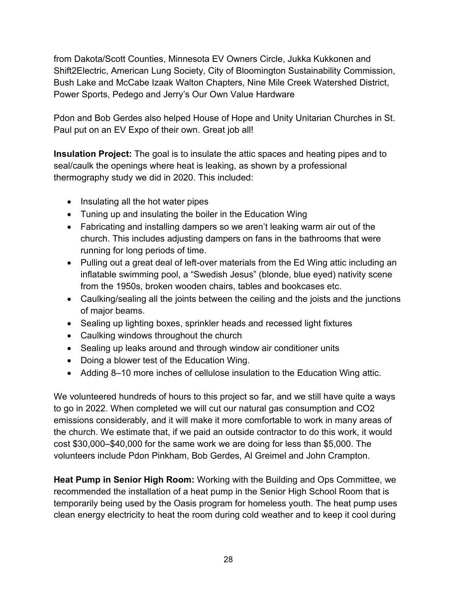from Dakota/Scott Counties, Minnesota EV Owners Circle, Jukka Kukkonen and Shift2Electric, American Lung Society, City of Bloomington Sustainability Commission, Bush Lake and McCabe Izaak Walton Chapters, Nine Mile Creek Watershed District, Power Sports, Pedego and Jerry's Our Own Value Hardware

Pdon and Bob Gerdes also helped House of Hope and Unity Unitarian Churches in St. Paul put on an EV Expo of their own. Great job all!

**Insulation Project:** The goal is to insulate the attic spaces and heating pipes and to seal/caulk the openings where heat is leaking, as shown by a professional thermography study we did in 2020. This included:

- Insulating all the hot water pipes
- Tuning up and insulating the boiler in the Education Wing
- Fabricating and installing dampers so we aren't leaking warm air out of the church. This includes adjusting dampers on fans in the bathrooms that were running for long periods of time.
- Pulling out a great deal of left-over materials from the Ed Wing attic including an inflatable swimming pool, a "Swedish Jesus" (blonde, blue eyed) nativity scene from the 1950s, broken wooden chairs, tables and bookcases etc.
- Caulking/sealing all the joints between the ceiling and the joists and the junctions of major beams.
- Sealing up lighting boxes, sprinkler heads and recessed light fixtures
- Caulking windows throughout the church
- Sealing up leaks around and through window air conditioner units
- Doing a blower test of the Education Wing.
- Adding 8–10 more inches of cellulose insulation to the Education Wing attic.

We volunteered hundreds of hours to this project so far, and we still have quite a ways to go in 2022. When completed we will cut our natural gas consumption and CO2 emissions considerably, and it will make it more comfortable to work in many areas of the church. We estimate that, if we paid an outside contractor to do this work, it would cost \$30,000–\$40,000 for the same work we are doing for less than \$5,000. The volunteers include Pdon Pinkham, Bob Gerdes, Al Greimel and John Crampton.

**Heat Pump in Senior High Room:** Working with the Building and Ops Committee, we recommended the installation of a heat pump in the Senior High School Room that is temporarily being used by the Oasis program for homeless youth. The heat pump uses clean energy electricity to heat the room during cold weather and to keep it cool during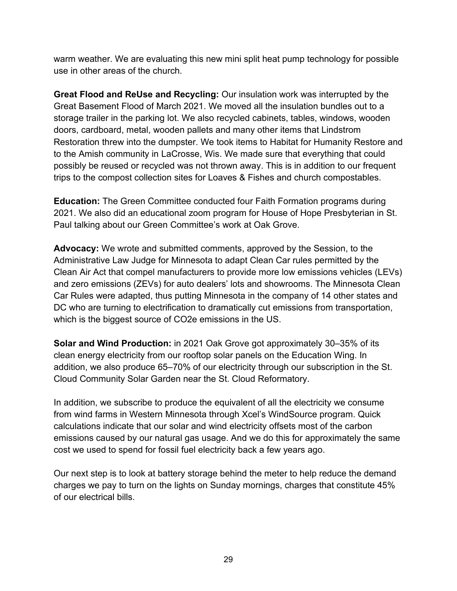warm weather. We are evaluating this new mini split heat pump technology for possible use in other areas of the church.

**Great Flood and ReUse and Recycling:** Our insulation work was interrupted by the Great Basement Flood of March 2021. We moved all the insulation bundles out to a storage trailer in the parking lot. We also recycled cabinets, tables, windows, wooden doors, cardboard, metal, wooden pallets and many other items that Lindstrom Restoration threw into the dumpster. We took items to Habitat for Humanity Restore and to the Amish community in LaCrosse, Wis. We made sure that everything that could possibly be reused or recycled was not thrown away. This is in addition to our frequent trips to the compost collection sites for Loaves & Fishes and church compostables.

**Education:** The Green Committee conducted four Faith Formation programs during 2021. We also did an educational zoom program for House of Hope Presbyterian in St. Paul talking about our Green Committee's work at Oak Grove.

**Advocacy:** We wrote and submitted comments, approved by the Session, to the Administrative Law Judge for Minnesota to adapt Clean Car rules permitted by the Clean Air Act that compel manufacturers to provide more low emissions vehicles (LEVs) and zero emissions (ZEVs) for auto dealers' lots and showrooms. The Minnesota Clean Car Rules were adapted, thus putting Minnesota in the company of 14 other states and DC who are turning to electrification to dramatically cut emissions from transportation, which is the biggest source of CO2e emissions in the US.

**Solar and Wind Production:** in 2021 Oak Grove got approximately 30–35% of its clean energy electricity from our rooftop solar panels on the Education Wing. In addition, we also produce 65–70% of our electricity through our subscription in the St. Cloud Community Solar Garden near the St. Cloud Reformatory.

In addition, we subscribe to produce the equivalent of all the electricity we consume from wind farms in Western Minnesota through Xcel's WindSource program. Quick calculations indicate that our solar and wind electricity offsets most of the carbon emissions caused by our natural gas usage. And we do this for approximately the same cost we used to spend for fossil fuel electricity back a few years ago.

Our next step is to look at battery storage behind the meter to help reduce the demand charges we pay to turn on the lights on Sunday mornings, charges that constitute 45% of our electrical bills.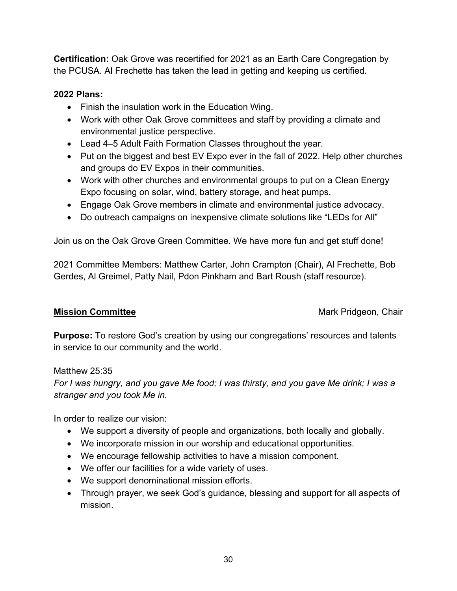**Certification:** Oak Grove was recertified for 2021 as an Earth Care Congregation by the PCUSA. Al Frechette has taken the lead in getting and keeping us certified.

#### **2022 Plans:**

- Finish the insulation work in the Education Wing.
- Work with other Oak Grove committees and staff by providing a climate and environmental justice perspective.
- Lead 4–5 Adult Faith Formation Classes throughout the year.
- Put on the biggest and best EV Expo ever in the fall of 2022. Help other churches and groups do EV Expos in their communities.
- Work with other churches and environmental groups to put on a Clean Energy Expo focusing on solar, wind, battery storage, and heat pumps.
- Engage Oak Grove members in climate and environmental justice advocacy.
- Do outreach campaigns on inexpensive climate solutions like "LEDs for All"

Join us on the Oak Grove Green Committee. We have more fun and get stuff done!

2021 Committee Members: Matthew Carter, John Crampton (Chair), Al Frechette, Bob Gerdes, Al Greimel, Patty Nail, Pdon Pinkham and Bart Roush (staff resource).

**Mission Committee Mark Pridgeon, Chair** Mark Pridgeon, Chair

**Purpose:** To restore God's creation by using our congregations' resources and talents in service to our community and the world.

#### Matthew 25:35

*For I was hungry, and you gave Me food; I was thirsty, and you gave Me drink; I was a stranger and you took Me in.*

In order to realize our vision:

- We support a diversity of people and organizations, both locally and globally.
- We incorporate mission in our worship and educational opportunities.
- We encourage fellowship activities to have a mission component.
- We offer our facilities for a wide variety of uses.
- We support denominational mission efforts.
- Through prayer, we seek God's guidance, blessing and support for all aspects of mission.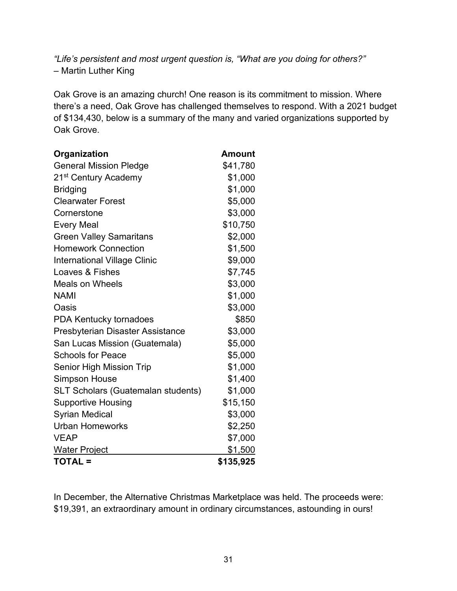*"Life's persistent and most urgent question is, "What are you doing for others?"* – Martin Luther King

Oak Grove is an amazing church! One reason is its commitment to mission. Where there's a need, Oak Grove has challenged themselves to respond. With a 2021 budget of \$134,430, below is a summary of the many and varied organizations supported by Oak Grove.

| Organization                              | <b>Amount</b> |
|-------------------------------------------|---------------|
| <b>General Mission Pledge</b>             | \$41,780      |
| 21 <sup>st</sup> Century Academy          | \$1,000       |
| <b>Bridging</b>                           | \$1,000       |
| <b>Clearwater Forest</b>                  | \$5,000       |
| Cornerstone                               | \$3,000       |
| <b>Every Meal</b>                         | \$10,750      |
| <b>Green Valley Samaritans</b>            | \$2,000       |
| <b>Homework Connection</b>                | \$1,500       |
| <b>International Village Clinic</b>       | \$9,000       |
| Loaves & Fishes                           | \$7,745       |
| <b>Meals on Wheels</b>                    | \$3,000       |
| <b>NAMI</b>                               | \$1,000       |
| Oasis                                     | \$3,000       |
| PDA Kentucky tornadoes                    | \$850         |
| Presbyterian Disaster Assistance          | \$3,000       |
| San Lucas Mission (Guatemala)             | \$5,000       |
| <b>Schools for Peace</b>                  | \$5,000       |
| Senior High Mission Trip                  | \$1,000       |
| <b>Simpson House</b>                      | \$1,400       |
| <b>SLT Scholars (Guatemalan students)</b> | \$1,000       |
| <b>Supportive Housing</b>                 | \$15,150      |
| <b>Syrian Medical</b>                     | \$3,000       |
| <b>Urban Homeworks</b>                    | \$2,250       |
| <b>VEAP</b>                               | \$7,000       |
| <b>Water Project</b>                      | \$1,500       |
| <b>TOTAL =</b>                            | \$135,925     |

In December, the Alternative Christmas Marketplace was held. The proceeds were: \$19,391, an extraordinary amount in ordinary circumstances, astounding in ours!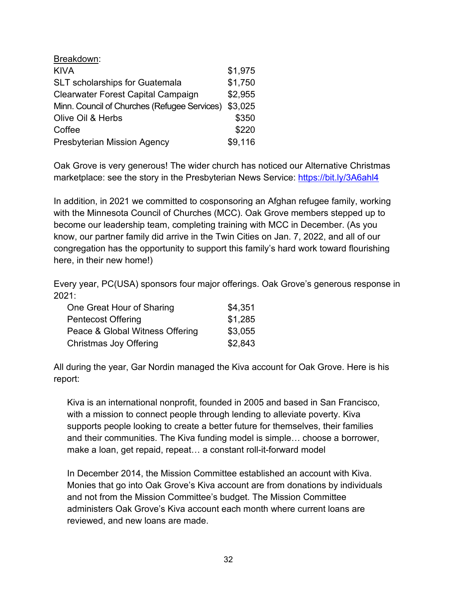| Breakdown:                                   |         |
|----------------------------------------------|---------|
| <b>KIVA</b>                                  | \$1,975 |
| <b>SLT</b> scholarships for Guatemala        | \$1,750 |
| <b>Clearwater Forest Capital Campaign</b>    | \$2,955 |
| Minn. Council of Churches (Refugee Services) | \$3,025 |
| Olive Oil & Herbs                            | \$350   |
| Coffee                                       | \$220   |
| <b>Presbyterian Mission Agency</b>           | \$9,116 |

Oak Grove is very generous! The wider church has noticed our Alternative Christmas marketplace: see the story in the Presbyterian News Service:<https://bit.ly/3A6ahl4>

In addition, in 2021 we committed to cosponsoring an Afghan refugee family, working with the Minnesota Council of Churches (MCC). Oak Grove members stepped up to become our leadership team, completing training with MCC in December. (As you know, our partner family did arrive in the Twin Cities on Jan. 7, 2022, and all of our congregation has the opportunity to support this family's hard work toward flourishing here, in their new home!)

Every year, PC(USA) sponsors four major offerings. Oak Grove's generous response in 2021:

| One Great Hour of Sharing       | \$4,351 |
|---------------------------------|---------|
| <b>Pentecost Offering</b>       | \$1,285 |
| Peace & Global Witness Offering | \$3,055 |
| Christmas Joy Offering          | \$2,843 |

All during the year, Gar Nordin managed the Kiva account for Oak Grove. Here is his report:

Kiva is an international nonprofit, founded in 2005 and based in San Francisco, with a mission to connect people through lending to alleviate poverty. Kiva supports people looking to create a better future for themselves, their families and their communities. The Kiva funding model is simple… choose a borrower, make a loan, get repaid, repeat… a constant roll-it-forward model

In December 2014, the Mission Committee established an account with Kiva. Monies that go into Oak Grove's Kiva account are from donations by individuals and not from the Mission Committee's budget. The Mission Committee administers Oak Grove's Kiva account each month where current loans are reviewed, and new loans are made.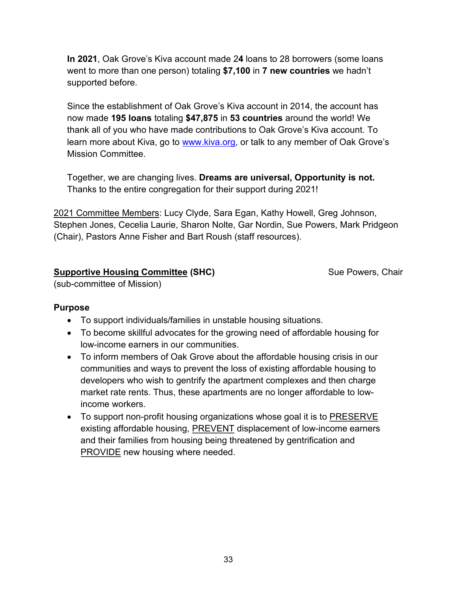**In 2021**, Oak Grove's Kiva account made 2**4** loans to 28 borrowers (some loans went to more than one person) totaling **\$7,100** in **7 new countries** we hadn't supported before.

Since the establishment of Oak Grove's Kiva account in 2014, the account has now made **195 loans** totaling **\$47,875** in **53 countries** around the world! We thank all of you who have made contributions to Oak Grove's Kiva account. To learn more about Kiva, go to [www.kiva.org,](http://www.kiva.org/) or talk to any member of Oak Grove's Mission Committee.

Together, we are changing lives. **Dreams are universal, Opportunity is not.** Thanks to the entire congregation for their support during 2021!

2021 Committee Members: Lucy Clyde, Sara Egan, Kathy Howell, Greg Johnson, Stephen Jones, Cecelia Laurie, Sharon Nolte, Gar Nordin, Sue Powers, Mark Pridgeon (Chair), Pastors Anne Fisher and Bart Roush (staff resources).

#### **Supportive Housing Committee (SHC)** Sue Powers, Chair

(sub-committee of Mission)

#### **Purpose**

- To support individuals/families in unstable housing situations.
- To become skillful advocates for the growing need of affordable housing for low-income earners in our communities.
- To inform members of Oak Grove about the affordable housing crisis in our communities and ways to prevent the loss of existing affordable housing to developers who wish to gentrify the apartment complexes and then charge market rate rents. Thus, these apartments are no longer affordable to lowincome workers.
- To support non-profit housing organizations whose goal it is to PRESERVE existing affordable housing, PREVENT displacement of low-income earners and their families from housing being threatened by gentrification and PROVIDE new housing where needed.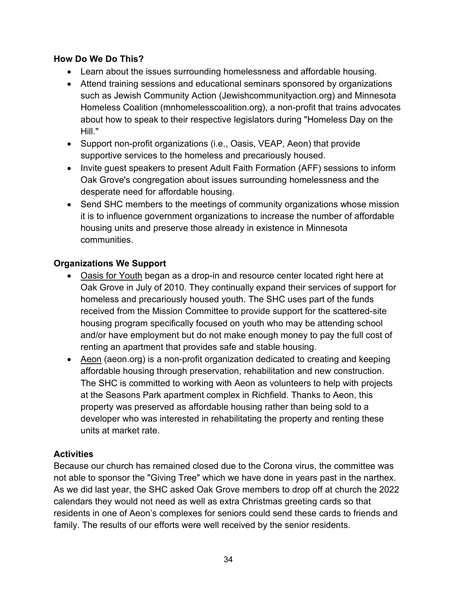#### **How Do We Do This?**

- Learn about the issues surrounding homelessness and affordable housing.
- Attend training sessions and educational seminars sponsored by organizations such as Jewish Community Action (Jewishcommunityaction.org) and Minnesota Homeless Coalition (mnhomelesscoalition.org), a non-profit that trains advocates about how to speak to their respective legislators during "Homeless Day on the Hill."
- Support non-profit organizations (i.e., Oasis, VEAP, Aeon) that provide supportive services to the homeless and precariously housed.
- Invite guest speakers to present Adult Faith Formation (AFF) sessions to inform Oak Grove's congregation about issues surrounding homelessness and the desperate need for affordable housing.
- Send SHC members to the meetings of community organizations whose mission it is to influence government organizations to increase the number of affordable housing units and preserve those already in existence in Minnesota communities.

#### **Organizations We Support**

- Oasis for Youth began as a drop-in and resource center located right here at Oak Grove in July of 2010. They continually expand their services of support for homeless and precariously housed youth. The SHC uses part of the funds received from the Mission Committee to provide support for the scattered-site housing program specifically focused on youth who may be attending school and/or have employment but do not make enough money to pay the full cost of renting an apartment that provides safe and stable housing.
- Aeon (aeon.org) is a non-profit organization dedicated to creating and keeping affordable housing through preservation, rehabilitation and new construction. The SHC is committed to working with Aeon as volunteers to help with projects at the Seasons Park apartment complex in Richfield. Thanks to Aeon, this property was preserved as affordable housing rather than being sold to a developer who was interested in rehabilitating the property and renting these units at market rate.

#### **Activities**

Because our church has remained closed due to the Corona virus, the committee was not able to sponsor the "Giving Tree" which we have done in years past in the narthex. As we did last year, the SHC asked Oak Grove members to drop off at church the 2022 calendars they would not need as well as extra Christmas greeting cards so that residents in one of Aeon's complexes for seniors could send these cards to friends and family. The results of our efforts were well received by the senior residents.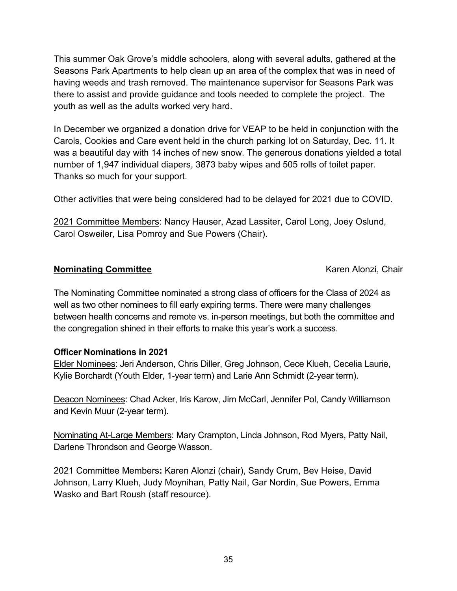This summer Oak Grove's middle schoolers, along with several adults, gathered at the Seasons Park Apartments to help clean up an area of the complex that was in need of having weeds and trash removed. The maintenance supervisor for Seasons Park was there to assist and provide guidance and tools needed to complete the project. The youth as well as the adults worked very hard.

In December we organized a donation drive for VEAP to be held in conjunction with the Carols, Cookies and Care event held in the church parking lot on Saturday, Dec. 11. It was a beautiful day with 14 inches of new snow. The generous donations yielded a total number of 1,947 individual diapers, 3873 baby wipes and 505 rolls of toilet paper. Thanks so much for your support.

Other activities that were being considered had to be delayed for 2021 due to COVID.

2021 Committee Members: Nancy Hauser, Azad Lassiter, Carol Long, Joey Oslund, Carol Osweiler, Lisa Pomroy and Sue Powers (Chair).

#### **Nominating Committee Karen Alonzi, Chair Karen Alonzi, Chair**

The Nominating Committee nominated a strong class of officers for the Class of 2024 as well as two other nominees to fill early expiring terms. There were many challenges between health concerns and remote vs. in-person meetings, but both the committee and the congregation shined in their efforts to make this year's work a success.

#### **Officer Nominations in 2021**

Elder Nominees: Jeri Anderson, Chris Diller, Greg Johnson, Cece Klueh, Cecelia Laurie, Kylie Borchardt (Youth Elder, 1-year term) and Larie Ann Schmidt (2-year term).

Deacon Nominees: Chad Acker, Iris Karow, Jim McCarl, Jennifer Pol, Candy Williamson and Kevin Muur (2-year term).

Nominating At-Large Members: Mary Crampton, Linda Johnson, Rod Myers, Patty Nail, Darlene Throndson and George Wasson.

2021 Committee Members**:** Karen Alonzi (chair), Sandy Crum, Bev Heise, David Johnson, Larry Klueh, Judy Moynihan, Patty Nail, Gar Nordin, Sue Powers, Emma Wasko and Bart Roush (staff resource).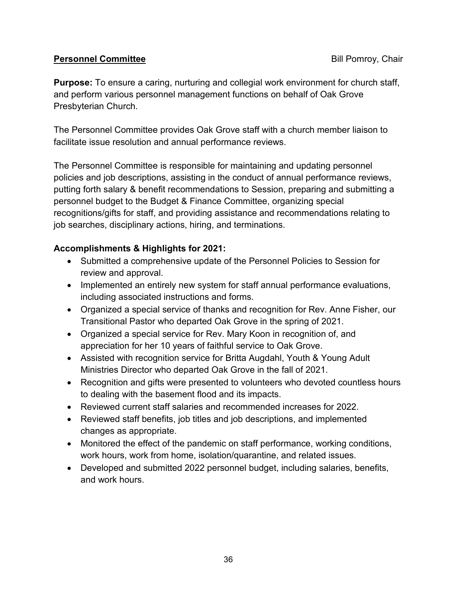#### **Personnel Committee Bill Pomroy, Chair**

**Purpose:** To ensure a caring, nurturing and collegial work environment for church staff, and perform various personnel management functions on behalf of Oak Grove Presbyterian Church.

The Personnel Committee provides Oak Grove staff with a church member liaison to facilitate issue resolution and annual performance reviews.

The Personnel Committee is responsible for maintaining and updating personnel policies and job descriptions, assisting in the conduct of annual performance reviews, putting forth salary & benefit recommendations to Session, preparing and submitting a personnel budget to the Budget & Finance Committee, organizing special recognitions/gifts for staff, and providing assistance and recommendations relating to job searches, disciplinary actions, hiring, and terminations.

#### **Accomplishments & Highlights for 2021:**

- Submitted a comprehensive update of the Personnel Policies to Session for review and approval.
- Implemented an entirely new system for staff annual performance evaluations, including associated instructions and forms.
- Organized a special service of thanks and recognition for Rev. Anne Fisher, our Transitional Pastor who departed Oak Grove in the spring of 2021.
- Organized a special service for Rev. Mary Koon in recognition of, and appreciation for her 10 years of faithful service to Oak Grove.
- Assisted with recognition service for Britta Augdahl, Youth & Young Adult Ministries Director who departed Oak Grove in the fall of 2021.
- Recognition and gifts were presented to volunteers who devoted countless hours to dealing with the basement flood and its impacts.
- Reviewed current staff salaries and recommended increases for 2022.
- Reviewed staff benefits, job titles and job descriptions, and implemented changes as appropriate.
- Monitored the effect of the pandemic on staff performance, working conditions, work hours, work from home, isolation/quarantine, and related issues.
- Developed and submitted 2022 personnel budget, including salaries, benefits, and work hours.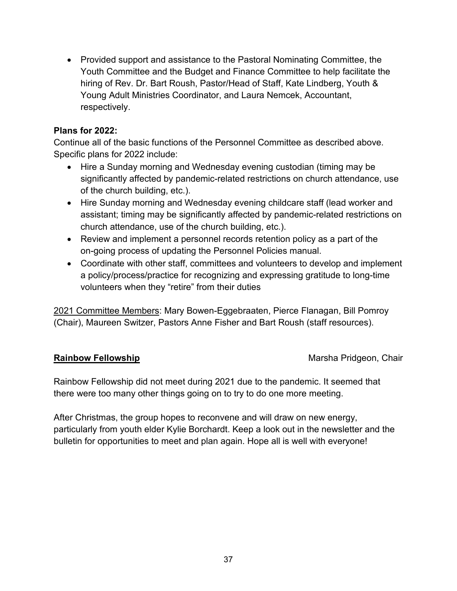• Provided support and assistance to the Pastoral Nominating Committee, the Youth Committee and the Budget and Finance Committee to help facilitate the hiring of Rev. Dr. Bart Roush, Pastor/Head of Staff, Kate Lindberg, Youth & Young Adult Ministries Coordinator, and Laura Nemcek, Accountant, respectively.

#### **Plans for 2022:**

Continue all of the basic functions of the Personnel Committee as described above. Specific plans for 2022 include:

- Hire a Sunday morning and Wednesday evening custodian (timing may be significantly affected by pandemic-related restrictions on church attendance, use of the church building, etc.).
- Hire Sunday morning and Wednesday evening childcare staff (lead worker and assistant; timing may be significantly affected by pandemic-related restrictions on church attendance, use of the church building, etc.).
- Review and implement a personnel records retention policy as a part of the on-going process of updating the Personnel Policies manual.
- Coordinate with other staff, committees and volunteers to develop and implement a policy/process/practice for recognizing and expressing gratitude to long-time volunteers when they "retire" from their duties

2021 Committee Members: Mary Bowen-Eggebraaten, Pierce Flanagan, Bill Pomroy (Chair), Maureen Switzer, Pastors Anne Fisher and Bart Roush (staff resources).

**Rainbow Fellowship** Marsha Pridgeon, Chair

Rainbow Fellowship did not meet during 2021 due to the pandemic. It seemed that there were too many other things going on to try to do one more meeting.

After Christmas, the group hopes to reconvene and will draw on new energy, particularly from youth elder Kylie Borchardt. Keep a look out in the newsletter and the bulletin for opportunities to meet and plan again. Hope all is well with everyone!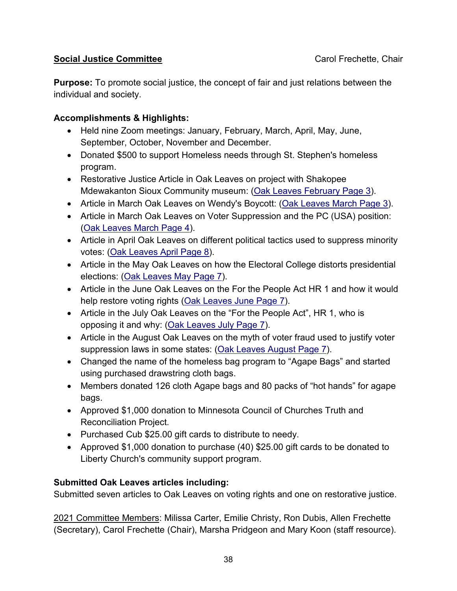#### **Social Justice Committee** Carol Frechette, Chair

**Purpose:** To promote social justice, the concept of fair and just relations between the individual and society.

#### **Accomplishments & Highlights:**

- Held nine Zoom meetings: January, February, March, April, May, June, September, October, November and December.
- Donated \$500 to support Homeless needs through St. Stephen's homeless program.
- Restorative Justice Article in Oak Leaves on project with Shakopee Mdewakanton Sioux Community museum: [\(Oak Leaves February Page 3\)](https://www.oakgrv.org/wp-content/uploads/2021/01/Feb-2021-Oak-Leaves.pdf).
- Article in March Oak Leaves on Wendy's Boycott: [\(Oak Leaves March Page 3\)](https://www.oakgrv.org/wp-content/uploads/2021/02/March-2021-Oak-Leaves.pdf).
- Article in March Oak Leaves on Voter Suppression and the PC (USA) position: [\(Oak Leaves March Page 4\)](https://www.oakgrv.org/wp-content/uploads/2021/02/March-2021-Oak-Leaves.pdf).
- Article in April Oak Leaves on different political tactics used to suppress minority votes: [\(Oak Leaves April Page 8\)](https://www.oakgrv.org/wp-content/uploads/2021/03/April-2021-Oak-Leaves.pdf).
- Article in the May Oak Leaves on how the Electoral College distorts presidential elections: [\(Oak Leaves May Page 7\)](https://www.oakgrv.org/wp-content/uploads/2021/04/May-2021-Oak-Leaves.pdf).
- Article in the June Oak Leaves on the For the People Act HR 1 and how it would help restore voting rights [\(Oak Leaves June Page 7\)](https://www.oakgrv.org/wp-content/uploads/2021/05/June-2021-Oak-Leaves.pdf).
- Article in the July Oak Leaves on the "For the People Act", HR 1, who is opposing it and why: [\(Oak Leaves July Page 7\)](https://www.oakgrv.org/wp-content/uploads/2021/06/July-2021-Oak-Leaves.pdf).
- Article in the August Oak Leaves on the myth of voter fraud used to justify voter suppression laws in some states: [\(Oak Leaves August Page 7\)](https://www.oakgrv.org/wp-content/uploads/2021/07/August-2021-Oak-Leaves.pdf).
- Changed the name of the homeless bag program to "Agape Bags" and started using purchased drawstring cloth bags.
- Members donated 126 cloth Agape bags and 80 packs of "hot hands" for agape bags.
- Approved \$1,000 donation to Minnesota Council of Churches Truth and Reconciliation Project.
- Purchased Cub \$25.00 gift cards to distribute to needy.
- Approved \$1,000 donation to purchase (40) \$25.00 gift cards to be donated to Liberty Church's community support program.

### **Submitted Oak Leaves articles including:**

Submitted seven articles to Oak Leaves on voting rights and one on restorative justice.

2021 Committee Members: Milissa Carter, Emilie Christy, Ron Dubis, Allen Frechette (Secretary), Carol Frechette (Chair), Marsha Pridgeon and Mary Koon (staff resource).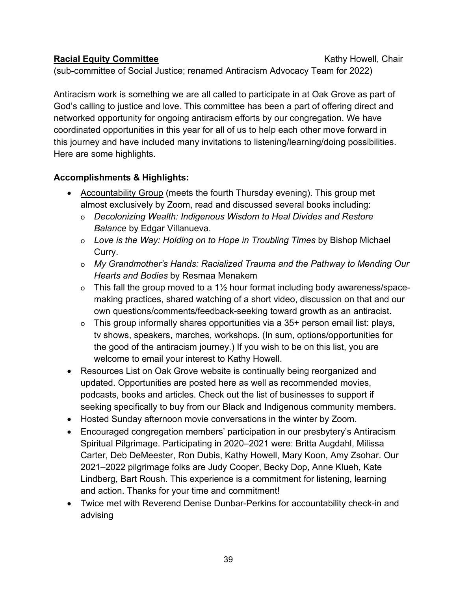#### **Racial Equity Committee** Kathy Howell, Chair

(sub-committee of Social Justice; renamed Antiracism Advocacy Team for 2022)

Antiracism work is something we are all called to participate in at Oak Grove as part of God's calling to justice and love. This committee has been a part of offering direct and networked opportunity for ongoing antiracism efforts by our congregation. We have coordinated opportunities in this year for all of us to help each other move forward in this journey and have included many invitations to listening/learning/doing possibilities. Here are some highlights.

#### **Accomplishments & Highlights:**

- Accountability Group (meets the fourth Thursday evening). This group met almost exclusively by Zoom, read and discussed several books including:
	- o *Decolonizing Wealth: Indigenous Wisdom to Heal Divides and Restore Balance* by Edgar Villanueva.
	- o *[Love is the Way: Holding on to Hope in Troubling Times](https://bookshop.org/books/love-is-the-way-holding-on-to-hope-in-troubling-times/9780525543039)* by Bishop Michael Curry.
	- o *My Grandmother's Hands: Racialized Trauma and the Pathway to Mending Our Hearts and Bodies* by Resmaa Menakem
	- o This fall the group moved to a 1½ hour format including body awareness/spacemaking practices, shared watching of a short video, discussion on that and our own questions/comments/feedback-seeking toward growth as an antiracist.
	- o This group informally shares opportunities via a 35+ person email list: plays, tv shows, speakers, marches, workshops. (In sum, options/opportunities for the good of the antiracism journey.) If you wish to be on this list, you are welcome to email your interest to Kathy Howell.
- Resources List on Oak Grove website is continually being reorganized and updated. Opportunities are posted here as well as recommended movies, podcasts, books and articles. Check out the list of businesses to support if seeking specifically to buy from our Black and Indigenous community members.
- Hosted Sunday afternoon movie conversations in the winter by Zoom.
- Encouraged congregation members' participation in our presbytery's Antiracism Spiritual Pilgrimage. Participating in 2020–2021 were: Britta Augdahl, Milissa Carter, Deb DeMeester, Ron Dubis, Kathy Howell, Mary Koon, Amy Zsohar. Our 2021–2022 pilgrimage folks are Judy Cooper, Becky Dop, Anne Klueh, Kate Lindberg, Bart Roush. This experience is a commitment for listening, learning and action. Thanks for your time and commitment!
- Twice met with Reverend Denise Dunbar-Perkins for accountability check-in and advising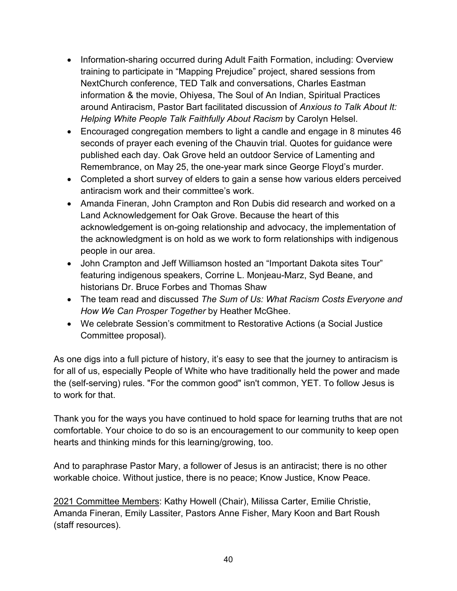- Information-sharing occurred during Adult Faith Formation, including: Overview training to participate in "Mapping Prejudice" project, shared sessions from NextChurch conference, TED Talk and conversations, Charles Eastman information & the movie, Ohiyesa, The Soul of An Indian, Spiritual Practices around Antiracism, Pastor Bart facilitated discussion of *Anxious to Talk About It: Helping White People Talk Faithfully About Racism* by Carolyn Helsel.
- Encouraged congregation members to light a candle and engage in 8 minutes 46 seconds of prayer each evening of the Chauvin trial. Quotes for guidance were published each day. Oak Grove held an outdoor Service of Lamenting and Remembrance, on May 25, the one-year mark since George Floyd's murder.
- Completed a short survey of elders to gain a sense how various elders perceived antiracism work and their committee's work.
- Amanda Fineran, John Crampton and Ron Dubis did research and worked on a Land Acknowledgement for Oak Grove. Because the heart of this acknowledgement is on-going relationship and advocacy, the implementation of the acknowledgment is on hold as we work to form relationships with indigenous people in our area.
- John Crampton and Jeff Williamson hosted an "Important Dakota sites Tour" featuring indigenous speakers, Corrine L. Monjeau-Marz, Syd Beane, and historians Dr. Bruce Forbes and Thomas Shaw
- The team read and discussed *The Sum of Us: What Racism Costs Everyone and How We Can Prosper Together* by Heather McGhee.
- We celebrate Session's commitment to Restorative Actions (a Social Justice Committee proposal).

As one digs into a full picture of history, it's easy to see that the journey to antiracism is for all of us, especially People of White who have traditionally held the power and made the (self-serving) rules. "For the common good" isn't common, YET. To follow Jesus is to work for that.

Thank you for the ways you have continued to hold space for learning truths that are not comfortable. Your choice to do so is an encouragement to our community to keep open hearts and thinking minds for this learning/growing, too.

And to paraphrase Pastor Mary, a follower of Jesus is an antiracist; there is no other workable choice. Without justice, there is no peace; Know Justice, Know Peace.

2021 Committee Members: Kathy Howell (Chair), Milissa Carter, Emilie Christie, Amanda Fineran, Emily Lassiter, Pastors Anne Fisher, Mary Koon and Bart Roush (staff resources).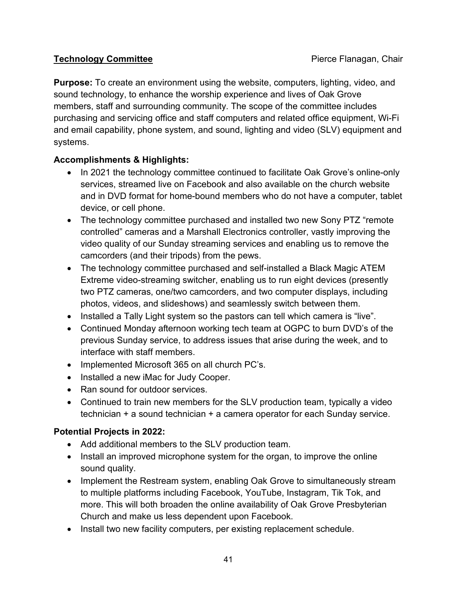#### **Technology Committee Pierce Flanagan, Chair**

**Purpose:** To create an environment using the website, computers, lighting, video, and sound technology, to enhance the worship experience and lives of Oak Grove members, staff and surrounding community. The scope of the committee includes purchasing and servicing office and staff computers and related office equipment, Wi-Fi and email capability, phone system, and sound, lighting and video (SLV) equipment and systems.

### **Accomplishments & Highlights:**

- In 2021 the technology committee continued to facilitate Oak Grove's online-only services, streamed live on Facebook and also available on the church website and in DVD format for home-bound members who do not have a computer, tablet device, or cell phone.
- The technology committee purchased and installed two new Sony PTZ "remote controlled" cameras and a Marshall Electronics controller, vastly improving the video quality of our Sunday streaming services and enabling us to remove the camcorders (and their tripods) from the pews.
- The technology committee purchased and self-installed a Black Magic ATEM Extreme video-streaming switcher, enabling us to run eight devices (presently two PTZ cameras, one/two camcorders, and two computer displays, including photos, videos, and slideshows) and seamlessly switch between them.
- Installed a Tally Light system so the pastors can tell which camera is "live".
- Continued Monday afternoon working tech team at OGPC to burn DVD's of the previous Sunday service, to address issues that arise during the week, and to interface with staff members.
- Implemented Microsoft 365 on all church PC's.
- Installed a new iMac for Judy Cooper.
- Ran sound for outdoor services.
- Continued to train new members for the SLV production team, typically a video technician + a sound technician + a camera operator for each Sunday service.

#### **Potential Projects in 2022:**

- Add additional members to the SLV production team.
- Install an improved microphone system for the organ, to improve the online sound quality.
- Implement the Restream system, enabling Oak Grove to simultaneously stream to multiple platforms including Facebook, YouTube, Instagram, Tik Tok, and more. This will both broaden the online availability of Oak Grove Presbyterian Church and make us less dependent upon Facebook.
- Install two new facility computers, per existing replacement schedule.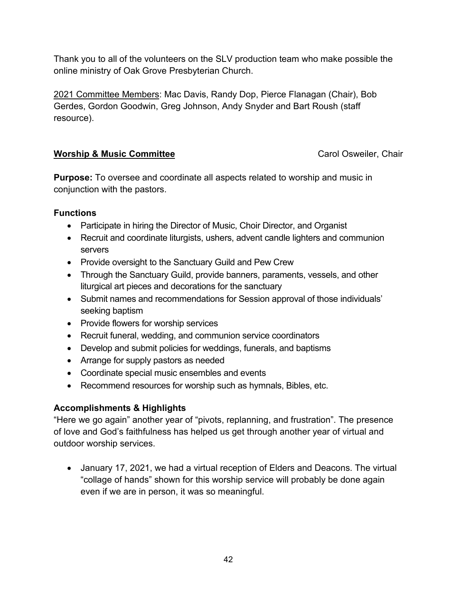Thank you to all of the volunteers on the SLV production team who make possible the online ministry of Oak Grove Presbyterian Church.

2021 Committee Members: Mac Davis, Randy Dop, Pierce Flanagan (Chair), Bob Gerdes, Gordon Goodwin, Greg Johnson, Andy Snyder and Bart Roush (staff resource).

#### **Worship & Music Committee Carol Osweiler, Chair Carol Osweiler, Chair**

**Purpose:** To oversee and coordinate all aspects related to worship and music in conjunction with the pastors.

#### **Functions**

- Participate in hiring the Director of Music, Choir Director, and Organist
- Recruit and coordinate liturgists, ushers, advent candle lighters and communion servers
- Provide oversight to the Sanctuary Guild and Pew Crew
- Through the Sanctuary Guild, provide banners, paraments, vessels, and other liturgical art pieces and decorations for the sanctuary
- Submit names and recommendations for Session approval of those individuals' seeking baptism
- Provide flowers for worship services
- Recruit funeral, wedding, and communion service coordinators
- Develop and submit policies for weddings, funerals, and baptisms
- Arrange for supply pastors as needed
- Coordinate special music ensembles and events
- Recommend resources for worship such as hymnals, Bibles, etc.

#### **Accomplishments & Highlights**

"Here we go again" another year of "pivots, replanning, and frustration". The presence of love and God's faithfulness has helped us get through another year of virtual and outdoor worship services.

• January 17, 2021, we had a virtual reception of Elders and Deacons. The virtual "collage of hands" shown for this worship service will probably be done again even if we are in person, it was so meaningful.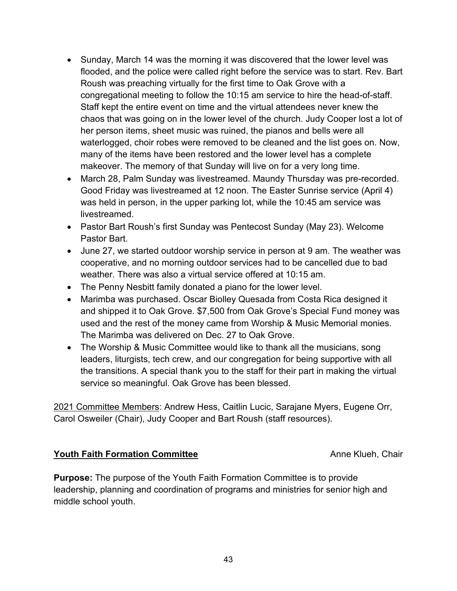- Sunday, March 14 was the morning it was discovered that the lower level was flooded, and the police were called right before the service was to start. Rev. Bart Roush was preaching virtually for the first time to Oak Grove with a congregational meeting to follow the 10:15 am service to hire the head-of-staff. Staff kept the entire event on time and the virtual attendees never knew the chaos that was going on in the lower level of the church. Judy Cooper lost a lot of her person items, sheet music was ruined, the pianos and bells were all waterlogged, choir robes were removed to be cleaned and the list goes on. Now, many of the items have been restored and the lower level has a complete makeover. The memory of that Sunday will live on for a very long time.
- March 28, Palm Sunday was livestreamed. Maundy Thursday was pre-recorded. Good Friday was livestreamed at 12 noon. The Easter Sunrise service (April 4) was held in person, in the upper parking lot, while the 10:45 am service was livestreamed.
- Pastor Bart Roush's first Sunday was Pentecost Sunday (May 23). Welcome Pastor Bart.
- June 27, we started outdoor worship service in person at 9 am. The weather was cooperative, and no morning outdoor services had to be cancelled due to bad weather. There was also a virtual service offered at 10:15 am.
- The Penny Nesbitt family donated a piano for the lower level.
- Marimba was purchased. Oscar Biolley Quesada from Costa Rica designed it and shipped it to Oak Grove. \$7,500 from Oak Grove's Special Fund money was used and the rest of the money came from Worship & Music Memorial monies. The Marimba was delivered on Dec. 27 to Oak Grove.
- The Worship & Music Committee would like to thank all the musicians, song leaders, liturgists, tech crew, and our congregation for being supportive with all the transitions. A special thank you to the staff for their part in making the virtual service so meaningful. Oak Grove has been blessed.

2021 Committee Members: Andrew Hess, Caitlin Lucic, Sarajane Myers, Eugene Orr, Carol Osweiler (Chair), Judy Cooper and Bart Roush (staff resources).

#### **Youth Faith Formation Committee** Anne Klueh, Chair

**Purpose:** The purpose of the Youth Faith Formation Committee is to provide leadership, planning and coordination of programs and ministries for senior high and middle school youth.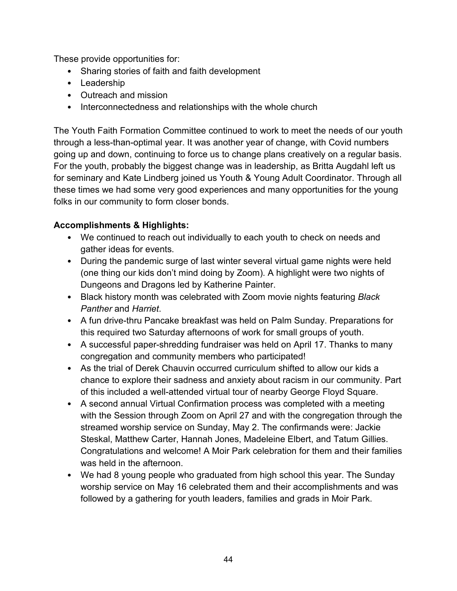These provide opportunities for:

- Sharing stories of faith and faith development
- Leadership
- Outreach and mission
- Interconnectedness and relationships with the whole church

The Youth Faith Formation Committee continued to work to meet the needs of our youth through a less-than-optimal year. It was another year of change, with Covid numbers going up and down, continuing to force us to change plans creatively on a regular basis. For the youth, probably the biggest change was in leadership, as Britta Augdahl left us for seminary and Kate Lindberg joined us Youth & Young Adult Coordinator. Through all these times we had some very good experiences and many opportunities for the young folks in our community to form closer bonds.

#### **Accomplishments & Highlights:**

- We continued to reach out individually to each youth to check on needs and gather ideas for events.
- During the pandemic surge of last winter several virtual game nights were held (one thing our kids don't mind doing by Zoom). A highlight were two nights of Dungeons and Dragons led by Katherine Painter.
- Black history month was celebrated with Zoom movie nights featuring *Black Panther* and *Harriet*.
- A fun drive-thru Pancake breakfast was held on Palm Sunday. Preparations for this required two Saturday afternoons of work for small groups of youth.
- A successful paper-shredding fundraiser was held on April 17. Thanks to many congregation and community members who participated!
- As the trial of Derek Chauvin occurred curriculum shifted to allow our kids a chance to explore their sadness and anxiety about racism in our community. Part of this included a well-attended virtual tour of nearby George Floyd Square.
- A second annual Virtual Confirmation process was completed with a meeting with the Session through Zoom on April 27 and with the congregation through the streamed worship service on Sunday, May 2. The confirmands were: Jackie Steskal, Matthew Carter, Hannah Jones, Madeleine Elbert, and Tatum Gillies. Congratulations and welcome! A Moir Park celebration for them and their families was held in the afternoon.
- We had 8 young people who graduated from high school this year. The Sunday worship service on May 16 celebrated them and their accomplishments and was followed by a gathering for youth leaders, families and grads in Moir Park.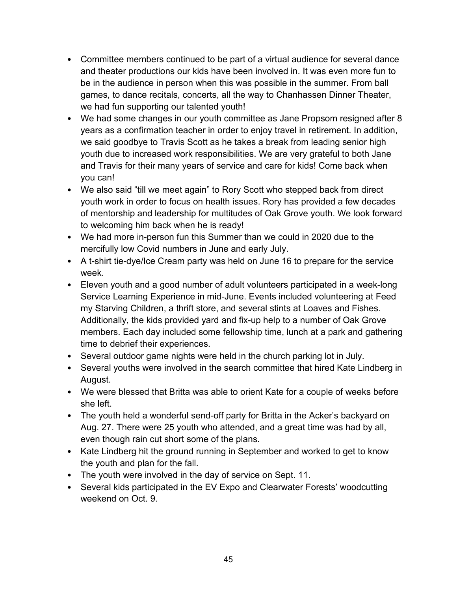- Committee members continued to be part of a virtual audience for several dance and theater productions our kids have been involved in. It was even more fun to be in the audience in person when this was possible in the summer. From ball games, to dance recitals, concerts, all the way to Chanhassen Dinner Theater, we had fun supporting our talented youth!
- We had some changes in our youth committee as Jane Propsom resigned after 8 years as a confirmation teacher in order to enjoy travel in retirement. In addition, we said goodbye to Travis Scott as he takes a break from leading senior high youth due to increased work responsibilities. We are very grateful to both Jane and Travis for their many years of service and care for kids! Come back when you can!
- We also said "till we meet again" to Rory Scott who stepped back from direct youth work in order to focus on health issues. Rory has provided a few decades of mentorship and leadership for multitudes of Oak Grove youth. We look forward to welcoming him back when he is ready!
- We had more in-person fun this Summer than we could in 2020 due to the mercifully low Covid numbers in June and early July.
- A t-shirt tie-dye/Ice Cream party was held on June 16 to prepare for the service week.
- Eleven youth and a good number of adult volunteers participated in a week-long Service Learning Experience in mid-June. Events included volunteering at Feed my Starving Children, a thrift store, and several stints at Loaves and Fishes. Additionally, the kids provided yard and fix-up help to a number of Oak Grove members. Each day included some fellowship time, lunch at a park and gathering time to debrief their experiences.
- Several outdoor game nights were held in the church parking lot in July.
- Several youths were involved in the search committee that hired Kate Lindberg in August.
- We were blessed that Britta was able to orient Kate for a couple of weeks before she left.
- The youth held a wonderful send-off party for Britta in the Acker's backyard on Aug. 27. There were 25 youth who attended, and a great time was had by all, even though rain cut short some of the plans.
- Kate Lindberg hit the ground running in September and worked to get to know the youth and plan for the fall.
- The youth were involved in the day of service on Sept. 11.
- Several kids participated in the EV Expo and Clearwater Forests' woodcutting weekend on Oct. 9.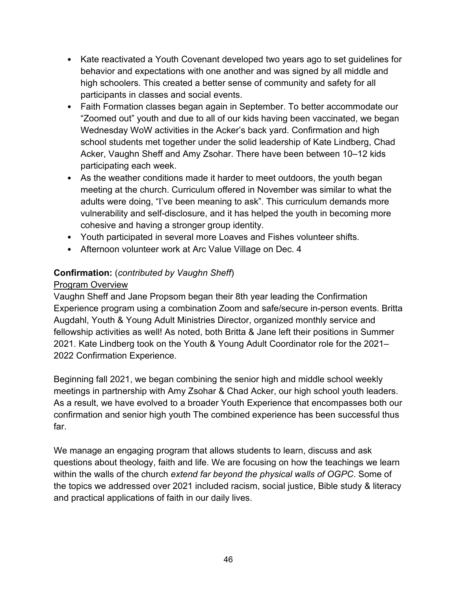- Kate reactivated a Youth Covenant developed two years ago to set guidelines for behavior and expectations with one another and was signed by all middle and high schoolers. This created a better sense of community and safety for all participants in classes and social events.
- Faith Formation classes began again in September. To better accommodate our "Zoomed out" youth and due to all of our kids having been vaccinated, we began Wednesday WoW activities in the Acker's back yard. Confirmation and high school students met together under the solid leadership of Kate Lindberg, Chad Acker, Vaughn Sheff and Amy Zsohar. There have been between 10–12 kids participating each week.
- As the weather conditions made it harder to meet outdoors, the youth began meeting at the church. Curriculum offered in November was similar to what the adults were doing, "I've been meaning to ask". This curriculum demands more vulnerability and self-disclosure, and it has helped the youth in becoming more cohesive and having a stronger group identity.
- Youth participated in several more Loaves and Fishes volunteer shifts.
- Afternoon volunteer work at Arc Value Village on Dec. 4

#### **Confirmation:** (*contributed by Vaughn Sheff*)

#### Program Overview

Vaughn Sheff and Jane Propsom began their 8th year leading the Confirmation Experience program using a combination Zoom and safe/secure in-person events. Britta Augdahl, Youth & Young Adult Ministries Director, organized monthly service and fellowship activities as well! As noted, both Britta & Jane left their positions in Summer 2021. Kate Lindberg took on the Youth & Young Adult Coordinator role for the 2021– 2022 Confirmation Experience.

Beginning fall 2021, we began combining the senior high and middle school weekly meetings in partnership with Amy Zsohar & Chad Acker, our high school youth leaders. As a result, we have evolved to a broader Youth Experience that encompasses both our confirmation and senior high youth The combined experience has been successful thus far.

We manage an engaging program that allows students to learn, discuss and ask questions about theology, faith and life. We are focusing on how the teachings we learn within the walls of the church *extend far beyond the physical walls of OGPC*. Some of the topics we addressed over 2021 included racism, social justice, Bible study & literacy and practical applications of faith in our daily lives.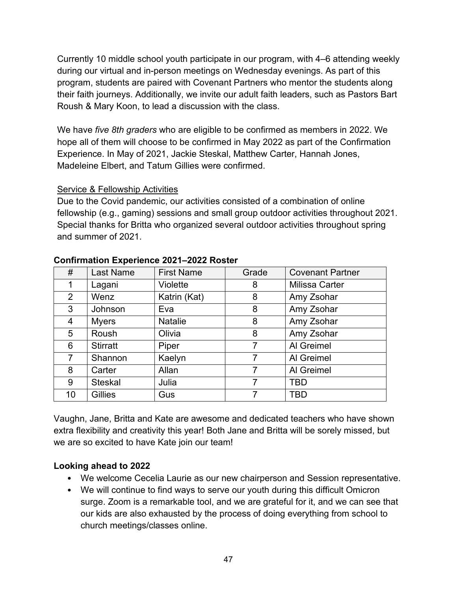Currently 10 middle school youth participate in our program, with 4–6 attending weekly during our virtual and in-person meetings on Wednesday evenings. As part of this program, students are paired with Covenant Partners who mentor the students along their faith journeys. Additionally, we invite our adult faith leaders, such as Pastors Bart Roush & Mary Koon, to lead a discussion with the class.

We have *five 8th graders* who are eligible to be confirmed as members in 2022. We hope all of them will choose to be confirmed in May 2022 as part of the Confirmation Experience. In May of 2021, Jackie Steskal, Matthew Carter, Hannah Jones, Madeleine Elbert, and Tatum Gillies were confirmed.

#### Service & Fellowship Activities

Due to the Covid pandemic, our activities consisted of a combination of online fellowship (e.g., gaming) sessions and small group outdoor activities throughout 2021. Special thanks for Britta who organized several outdoor activities throughout spring and summer of 2021.

| #              | Last Name       | <b>First Name</b> | Grade | <b>Covenant Partner</b> |  |
|----------------|-----------------|-------------------|-------|-------------------------|--|
|                | Lagani          | Violette          | 8     | <b>Milissa Carter</b>   |  |
| $\overline{2}$ | Wenz            | Katrin (Kat)      | 8     | Amy Zsohar              |  |
| 3              | Johnson         | Eva               | 8     | Amy Zsohar              |  |
| 4              | <b>Myers</b>    | <b>Natalie</b>    | 8     | Amy Zsohar              |  |
| 5              | Roush           | Olivia            | 8     | Amy Zsohar              |  |
| 6              | <b>Stirratt</b> | Piper             | 7     | Al Greimel              |  |
| $\overline{7}$ | Shannon         | Kaelyn            | 7     | Al Greimel              |  |
| 8              | Carter          | Allan             |       | Al Greimel              |  |
| 9              | <b>Steskal</b>  | Julia             | 7     | <b>TBD</b>              |  |
| 10             | <b>Gillies</b>  | Gus               |       | <b>TBD</b>              |  |

#### **Confirmation Experience 2021–2022 Roster**

Vaughn, Jane, Britta and Kate are awesome and dedicated teachers who have shown extra flexibility and creativity this year! Both Jane and Britta will be sorely missed, but we are so excited to have Kate join our team!

#### **Looking ahead to 2022**

- We welcome Cecelia Laurie as our new chairperson and Session representative.
- We will continue to find ways to serve our youth during this difficult Omicron surge. Zoom is a remarkable tool, and we are grateful for it, and we can see that our kids are also exhausted by the process of doing everything from school to church meetings/classes online.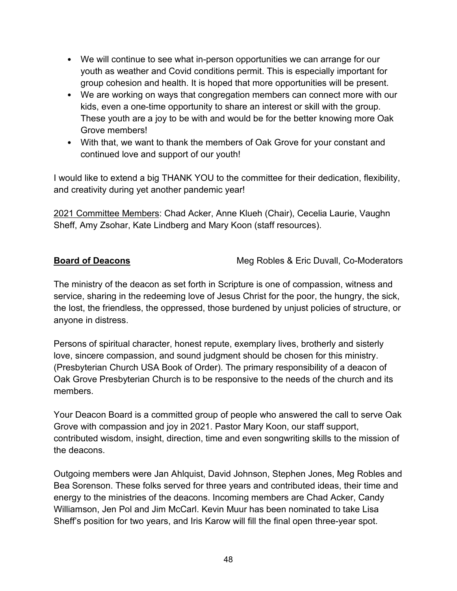- We will continue to see what in-person opportunities we can arrange for our youth as weather and Covid conditions permit. This is especially important for group cohesion and health. It is hoped that more opportunities will be present.
- We are working on ways that congregation members can connect more with our kids, even a one-time opportunity to share an interest or skill with the group. These youth are a joy to be with and would be for the better knowing more Oak Grove members!
- With that, we want to thank the members of Oak Grove for your constant and continued love and support of our youth!

I would like to extend a big THANK YOU to the committee for their dedication, flexibility, and creativity during yet another pandemic year!

2021 Committee Members: Chad Acker, Anne Klueh (Chair), Cecelia Laurie, Vaughn Sheff, Amy Zsohar, Kate Lindberg and Mary Koon (staff resources).

**Board of Deacons** Meg Robles & Eric Duvall, Co-Moderators

The ministry of the deacon as set forth in Scripture is one of compassion, witness and service, sharing in the redeeming love of Jesus Christ for the poor, the hungry, the sick, the lost, the friendless, the oppressed, those burdened by unjust policies of structure, or anyone in distress.

Persons of spiritual character, honest repute, exemplary lives, brotherly and sisterly love, sincere compassion, and sound judgment should be chosen for this ministry. (Presbyterian Church USA Book of Order). The primary responsibility of a deacon of Oak Grove Presbyterian Church is to be responsive to the needs of the church and its members.

Your Deacon Board is a committed group of people who answered the call to serve Oak Grove with compassion and joy in 2021. Pastor Mary Koon, our staff support, contributed wisdom, insight, direction, time and even songwriting skills to the mission of the deacons.

Outgoing members were Jan Ahlquist, David Johnson, Stephen Jones, Meg Robles and Bea Sorenson. These folks served for three years and contributed ideas, their time and energy to the ministries of the deacons. Incoming members are Chad Acker, Candy Williamson, Jen Pol and Jim McCarl. Kevin Muur has been nominated to take Lisa Sheff's position for two years, and Iris Karow will fill the final open three-year spot.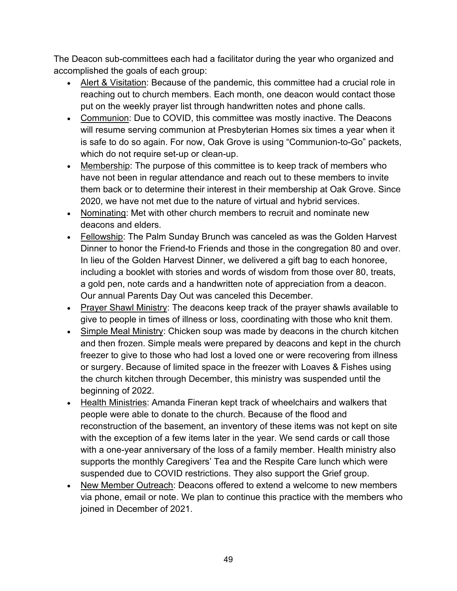The Deacon sub-committees each had a facilitator during the year who organized and accomplished the goals of each group:

- Alert & Visitation: Because of the pandemic, this committee had a crucial role in reaching out to church members. Each month, one deacon would contact those put on the weekly prayer list through handwritten notes and phone calls.
- Communion: Due to COVID, this committee was mostly inactive. The Deacons will resume serving communion at Presbyterian Homes six times a year when it is safe to do so again. For now, Oak Grove is using "Communion-to-Go" packets, which do not require set-up or clean-up.
- Membership: The purpose of this committee is to keep track of members who have not been in regular attendance and reach out to these members to invite them back or to determine their interest in their membership at Oak Grove. Since 2020, we have not met due to the nature of virtual and hybrid services.
- Nominating: Met with other church members to recruit and nominate new deacons and elders.
- Fellowship: The Palm Sunday Brunch was canceled as was the Golden Harvest Dinner to honor the Friend-to Friends and those in the congregation 80 and over. In lieu of the Golden Harvest Dinner, we delivered a gift bag to each honoree, including a booklet with stories and words of wisdom from those over 80, treats, a gold pen, note cards and a handwritten note of appreciation from a deacon. Our annual Parents Day Out was canceled this December.
- Prayer Shawl Ministry: The deacons keep track of the prayer shawls available to give to people in times of illness or loss, coordinating with those who knit them.
- Simple Meal Ministry: Chicken soup was made by deacons in the church kitchen and then frozen. Simple meals were prepared by deacons and kept in the church freezer to give to those who had lost a loved one or were recovering from illness or surgery. Because of limited space in the freezer with Loaves & Fishes using the church kitchen through December, this ministry was suspended until the beginning of 2022.
- Health Ministries: Amanda Fineran kept track of wheelchairs and walkers that people were able to donate to the church. Because of the flood and reconstruction of the basement, an inventory of these items was not kept on site with the exception of a few items later in the year. We send cards or call those with a one-year anniversary of the loss of a family member. Health ministry also supports the monthly Caregivers' Tea and the Respite Care lunch which were suspended due to COVID restrictions. They also support the Grief group.
- New Member Outreach: Deacons offered to extend a welcome to new members via phone, email or note. We plan to continue this practice with the members who joined in December of 2021.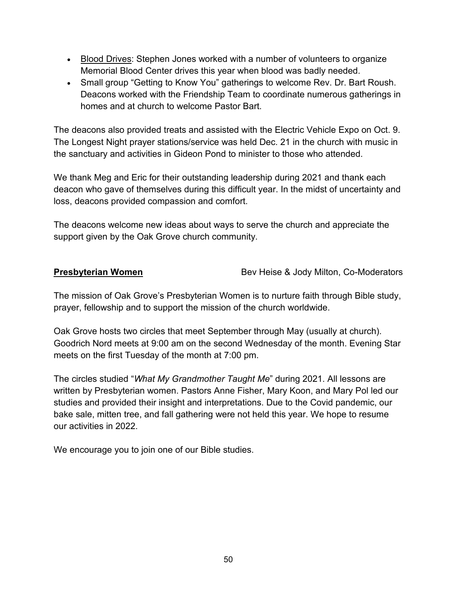- Blood Drives: Stephen Jones worked with a number of volunteers to organize Memorial Blood Center drives this year when blood was badly needed.
- Small group "Getting to Know You" gatherings to welcome Rev. Dr. Bart Roush. Deacons worked with the Friendship Team to coordinate numerous gatherings in homes and at church to welcome Pastor Bart.

The deacons also provided treats and assisted with the Electric Vehicle Expo on Oct. 9. The Longest Night prayer stations/service was held Dec. 21 in the church with music in the sanctuary and activities in Gideon Pond to minister to those who attended.

We thank Meg and Eric for their outstanding leadership during 2021 and thank each deacon who gave of themselves during this difficult year. In the midst of uncertainty and loss, deacons provided compassion and comfort.

The deacons welcome new ideas about ways to serve the church and appreciate the support given by the Oak Grove church community.

**Presbyterian Women** Bev Heise & Jody Milton, Co-Moderators

The mission of Oak Grove's Presbyterian Women is to nurture faith through Bible study, prayer, fellowship and to support the mission of the church worldwide.

Oak Grove hosts two circles that meet September through May (usually at church). Goodrich Nord meets at 9:00 am on the second Wednesday of the month. Evening Star meets on the first Tuesday of the month at 7:00 pm.

The circles studied "*What My Grandmother Taught Me*" during 2021. All lessons are written by Presbyterian women. Pastors Anne Fisher, Mary Koon, and Mary Pol led our studies and provided their insight and interpretations. Due to the Covid pandemic, our bake sale, mitten tree, and fall gathering were not held this year. We hope to resume our activities in 2022.

We encourage you to join one of our Bible studies.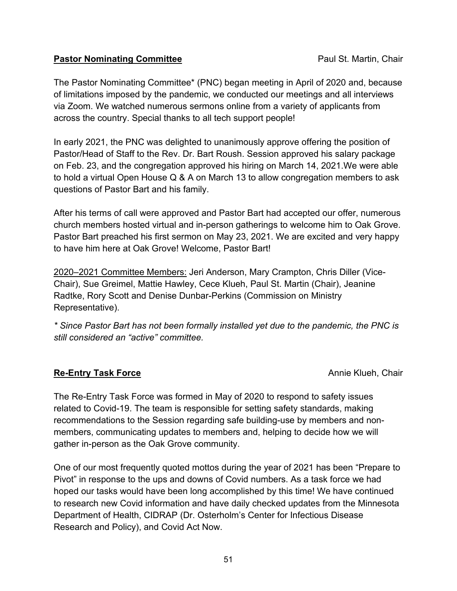#### **Pastor Nominating Committee**  Paul St. Martin, Chair

The Pastor Nominating Committee\* (PNC) began meeting in April of 2020 and, because of limitations imposed by the pandemic, we conducted our meetings and all interviews via Zoom. We watched numerous sermons online from a variety of applicants from across the country. Special thanks to all tech support people!

In early 2021, the PNC was delighted to unanimously approve offering the position of Pastor/Head of Staff to the Rev. Dr. Bart Roush. Session approved his salary package on Feb. 23, and the congregation approved his hiring on March 14, 2021.We were able to hold a virtual Open House Q & A on March 13 to allow congregation members to ask questions of Pastor Bart and his family.

After his terms of call were approved and Pastor Bart had accepted our offer, numerous church members hosted virtual and in-person gatherings to welcome him to Oak Grove. Pastor Bart preached his first sermon on May 23, 2021. We are excited and very happy to have him here at Oak Grove! Welcome, Pastor Bart!

2020–2021 Committee Members: Jeri Anderson, Mary Crampton, Chris Diller (Vice-Chair), Sue Greimel, Mattie Hawley, Cece Klueh, Paul St. Martin (Chair), Jeanine Radtke, Rory Scott and Denise Dunbar-Perkins (Commission on Ministry Representative).

*\* Since Pastor Bart has not been formally installed yet due to the pandemic, the PNC is still considered an "active" committee.*

#### **Re-Entry Task Force Annie Klueh, Chair Annie Klueh, Chair**

The Re-Entry Task Force was formed in May of 2020 to respond to safety issues related to Covid-19. The team is responsible for setting safety standards, making recommendations to the Session regarding safe building-use by members and nonmembers, communicating updates to members and, helping to decide how we will gather in-person as the Oak Grove community.

One of our most frequently quoted mottos during the year of 2021 has been "Prepare to Pivot" in response to the ups and downs of Covid numbers. As a task force we had hoped our tasks would have been long accomplished by this time! We have continued to research new Covid information and have daily checked updates from the Minnesota Department of Health, CIDRAP (Dr. Osterholm's Center for Infectious Disease Research and Policy), and Covid Act Now.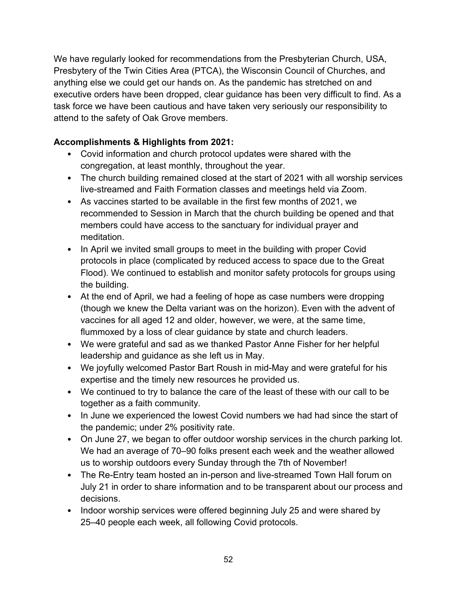We have regularly looked for recommendations from the Presbyterian Church, USA, Presbytery of the Twin Cities Area (PTCA), the Wisconsin Council of Churches, and anything else we could get our hands on. As the pandemic has stretched on and executive orders have been dropped, clear guidance has been very difficult to find. As a task force we have been cautious and have taken very seriously our responsibility to attend to the safety of Oak Grove members.

#### **Accomplishments & Highlights from 2021:**

- Covid information and church protocol updates were shared with the congregation, at least monthly, throughout the year.
- The church building remained closed at the start of 2021 with all worship services live-streamed and Faith Formation classes and meetings held via Zoom.
- As vaccines started to be available in the first few months of 2021, we recommended to Session in March that the church building be opened and that members could have access to the sanctuary for individual prayer and meditation.
- In April we invited small groups to meet in the building with proper Covid protocols in place (complicated by reduced access to space due to the Great Flood). We continued to establish and monitor safety protocols for groups using the building.
- At the end of April, we had a feeling of hope as case numbers were dropping (though we knew the Delta variant was on the horizon). Even with the advent of vaccines for all aged 12 and older, however, we were, at the same time, flummoxed by a loss of clear guidance by state and church leaders.
- We were grateful and sad as we thanked Pastor Anne Fisher for her helpful leadership and guidance as she left us in May.
- We joyfully welcomed Pastor Bart Roush in mid-May and were grateful for his expertise and the timely new resources he provided us.
- We continued to try to balance the care of the least of these with our call to be together as a faith community.
- In June we experienced the lowest Covid numbers we had had since the start of the pandemic; under 2% positivity rate.
- On June 27, we began to offer outdoor worship services in the church parking lot. We had an average of 70–90 folks present each week and the weather allowed us to worship outdoors every Sunday through the 7th of November!
- The Re-Entry team hosted an in-person and live-streamed Town Hall forum on July 21 in order to share information and to be transparent about our process and decisions.
- Indoor worship services were offered beginning July 25 and were shared by 25–40 people each week, all following Covid protocols.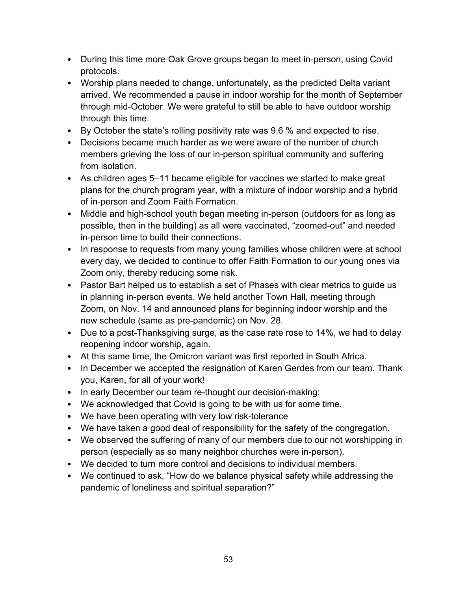- During this time more Oak Grove groups began to meet in-person, using Covid protocols.
- Worship plans needed to change, unfortunately, as the predicted Delta variant arrived. We recommended a pause in indoor worship for the month of September through mid-October. We were grateful to still be able to have outdoor worship through this time.
- By October the state's rolling positivity rate was 9.6 % and expected to rise.
- Decisions became much harder as we were aware of the number of church members grieving the loss of our in-person spiritual community and suffering from isolation.
- As children ages 5–11 became eligible for vaccines we started to make great plans for the church program year, with a mixture of indoor worship and a hybrid of in-person and Zoom Faith Formation.
- Middle and high-school youth began meeting in-person (outdoors for as long as possible, then in the building) as all were vaccinated, "zoomed-out" and needed in-person time to build their connections.
- In response to requests from many young families whose children were at school every day, we decided to continue to offer Faith Formation to our young ones via Zoom only, thereby reducing some risk.
- Pastor Bart helped us to establish a set of Phases with clear metrics to guide us in planning in-person events. We held another Town Hall, meeting through Zoom, on Nov. 14 and announced plans for beginning indoor worship and the new schedule (same as pre-pandemic) on Nov. 28.
- Due to a post-Thanksgiving surge, as the case rate rose to 14%, we had to delay reopening indoor worship, again.
- At this same time, the Omicron variant was first reported in South Africa.
- In December we accepted the resignation of Karen Gerdes from our team. Thank you, Karen, for all of your work!
- In early December our team re-thought our decision-making:
- We acknowledged that Covid is going to be with us for some time.
- We have been operating with very low risk-tolerance
- We have taken a good deal of responsibility for the safety of the congregation.
- We observed the suffering of many of our members due to our not worshipping in person (especially as so many neighbor churches were in-person).
- We decided to turn more control and decisions to individual members.
- We continued to ask, "How do we balance physical safety while addressing the pandemic of loneliness and spiritual separation?"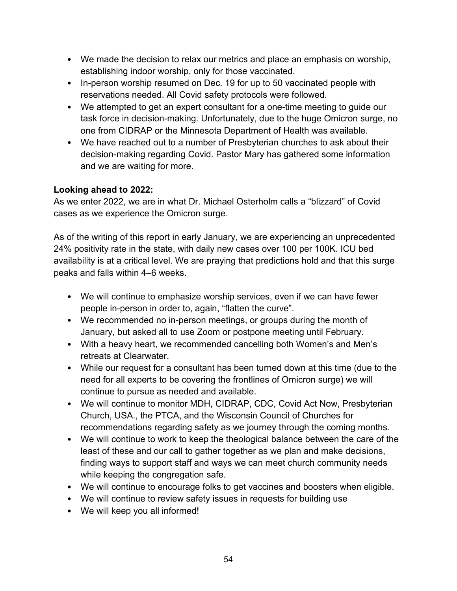- We made the decision to relax our metrics and place an emphasis on worship, establishing indoor worship, only for those vaccinated.
- In-person worship resumed on Dec. 19 for up to 50 vaccinated people with reservations needed. All Covid safety protocols were followed.
- We attempted to get an expert consultant for a one-time meeting to guide our task force in decision-making. Unfortunately, due to the huge Omicron surge, no one from CIDRAP or the Minnesota Department of Health was available.
- We have reached out to a number of Presbyterian churches to ask about their decision-making regarding Covid. Pastor Mary has gathered some information and we are waiting for more.

#### **Looking ahead to 2022:**

As we enter 2022, we are in what Dr. Michael Osterholm calls a "blizzard" of Covid cases as we experience the Omicron surge.

As of the writing of this report in early January, we are experiencing an unprecedented 24% positivity rate in the state, with daily new cases over 100 per 100K. ICU bed availability is at a critical level. We are praying that predictions hold and that this surge peaks and falls within 4–6 weeks.

- We will continue to emphasize worship services, even if we can have fewer people in-person in order to, again, "flatten the curve".
- We recommended no in-person meetings, or groups during the month of January, but asked all to use Zoom or postpone meeting until February.
- With a heavy heart, we recommended cancelling both Women's and Men's retreats at Clearwater.
- While our request for a consultant has been turned down at this time (due to the need for all experts to be covering the frontlines of Omicron surge) we will continue to pursue as needed and available.
- We will continue to monitor MDH, CIDRAP, CDC, Covid Act Now, Presbyterian Church, USA., the PTCA, and the Wisconsin Council of Churches for recommendations regarding safety as we journey through the coming months.
- We will continue to work to keep the theological balance between the care of the least of these and our call to gather together as we plan and make decisions, finding ways to support staff and ways we can meet church community needs while keeping the congregation safe.
- We will continue to encourage folks to get vaccines and boosters when eligible.
- We will continue to review safety issues in requests for building use
- We will keep you all informed!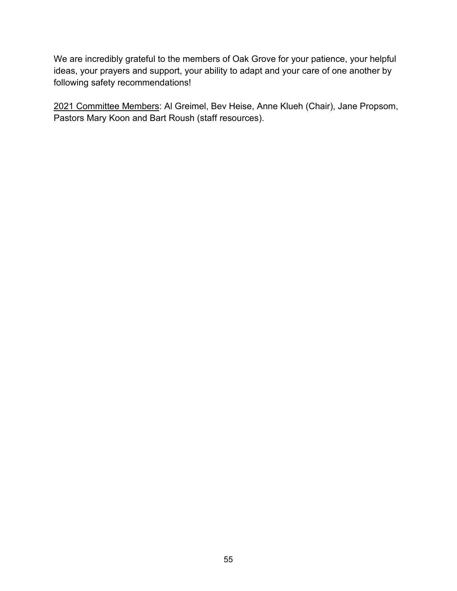We are incredibly grateful to the members of Oak Grove for your patience, your helpful ideas, your prayers and support, your ability to adapt and your care of one another by following safety recommendations!

2021 Committee Members: Al Greimel, Bev Heise, Anne Klueh (Chair), Jane Propsom, Pastors Mary Koon and Bart Roush (staff resources).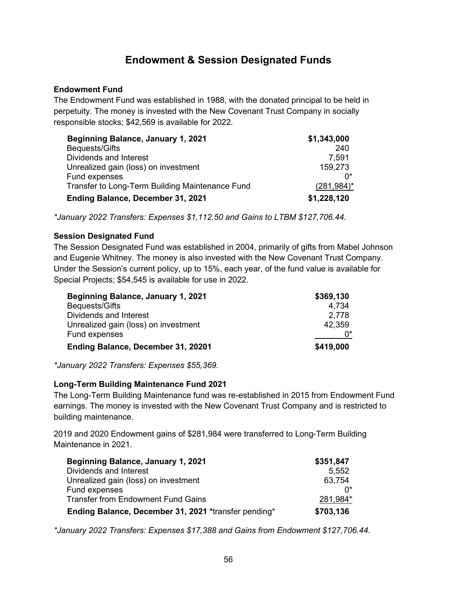## **Endowment & Session Designated Funds**

#### **Endowment Fund**

The Endowment Fund was established in 1988, with the donated principal to be held in perpetuity. The money is invested with the New Covenant Trust Company in socially responsible stocks; \$42,569 is available for 2022.

| Beginning Balance, January 1, 2021              | \$1,343,000    |
|-------------------------------------------------|----------------|
| Bequests/Gifts                                  | -240           |
| Dividends and Interest                          | 7,591          |
| Unrealized gain (loss) on investment            | 159,273        |
| Fund expenses                                   |                |
| Transfer to Long-Term Building Maintenance Fund | $(281, 984)^*$ |
| Ending Balance, December 31, 2021               | \$1,228,120    |

*\*January 2022 Transfers: Expenses \$1,112.50 and Gains to LTBM \$127,706.44.*

#### **Session Designated Fund**

The Session Designated Fund was established in 2004, primarily of gifts from Mabel Johnson and Eugenie Whitney. The money is also invested with the New Covenant Trust Company. Under the Session's current policy, up to 15%, each year, of the fund value is available for Special Projects; \$54,545 is available for use in 2022.

| <b>Beginning Balance, January 1, 2021</b> | \$369,130 |
|-------------------------------------------|-----------|
| Bequests/Gifts                            | 4.734     |
| Dividends and Interest                    | 2.778     |
| Unrealized gain (loss) on investment      | 42,359    |
| Fund expenses                             |           |
| Ending Balance, December 31, 20201        | \$419,000 |

*\*January 2022 Transfers: Expenses \$55,369.*

#### **Long-Term Building Maintenance Fund 2021**

The Long-Term Building Maintenance fund was re-established in 2015 from Endowment Fund earnings. The money is invested with the New Covenant Trust Company and is restricted to building maintenance.

2019 and 2020 Endowment gains of \$281,984 were transferred to Long-Term Building Maintenance in 2021.

| <b>Beginning Balance, January 1, 2021</b>            | \$351,847 |
|------------------------------------------------------|-----------|
| Dividends and Interest                               | 5.552     |
| Unrealized gain (loss) on investment                 | 63,754    |
| Fund expenses                                        |           |
| <b>Transfer from Endowment Fund Gains</b>            | 281,984*  |
| Ending Balance, December 31, 2021 *transfer pending* | \$703,136 |

*\*January 2022 Transfers: Expenses \$17,388 and Gains from Endowment \$127,706.44.*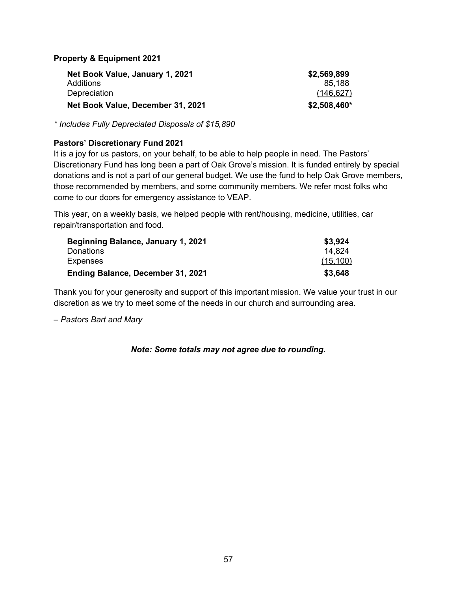**Property & Equipment 2021**

| Net Book Value, January 1, 2021   | \$2,569,899  |
|-----------------------------------|--------------|
| Additions                         | 85.188       |
| Depreciation                      | (146, 627)   |
| Net Book Value, December 31, 2021 | \$2,508,460* |

*\* Includes Fully Depreciated Disposals of \$15,890*

#### **Pastors' Discretionary Fund 2021**

It is a joy for us pastors, on your behalf, to be able to help people in need. The Pastors' Discretionary Fund has long been a part of Oak Grove's mission. It is funded entirely by special donations and is not a part of our general budget. We use the fund to help Oak Grove members, those recommended by members, and some community members. We refer most folks who come to our doors for emergency assistance to VEAP.

This year, on a weekly basis, we helped people with rent/housing, medicine, utilities, car repair/transportation and food.

| Beginning Balance, January 1, 2021 | \$3,924   |
|------------------------------------|-----------|
| Donations                          | 14.824    |
| <b>Expenses</b>                    | (15, 100) |
| Ending Balance, December 31, 2021  | \$3.648   |

Thank you for your generosity and support of this important mission. We value your trust in our discretion as we try to meet some of the needs in our church and surrounding area.

*– Pastors Bart and Mary*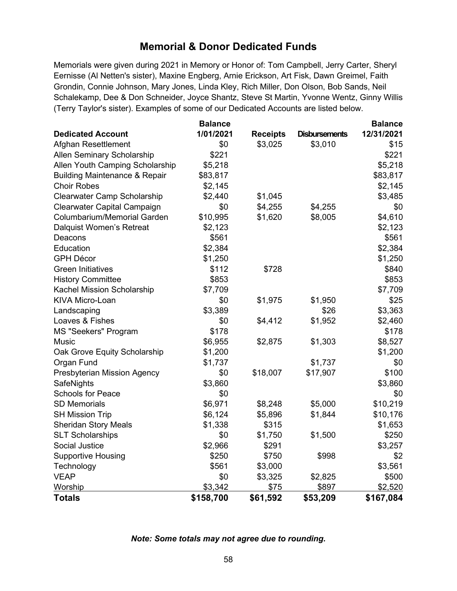## **Memorial & Donor Dedicated Funds**

Memorials were given during 2021 in Memory or Honor of: Tom Campbell, Jerry Carter, Sheryl Eernisse (Al Netten's sister), Maxine Engberg, Arnie Erickson, Art Fisk, Dawn Greimel, Faith Grondin, Connie Johnson, Mary Jones, Linda Kley, Rich Miller, Don Olson, Bob Sands, Neil Schalekamp, Dee & Don Schneider, Joyce Shantz, Steve St Martin, Yvonne Wentz, Ginny Willis (Terry Taylor's sister). Examples of some of our Dedicated Accounts are listed below.

|                                          | <b>Balance</b> |                 |                      | <b>Balance</b> |
|------------------------------------------|----------------|-----------------|----------------------|----------------|
| <b>Dedicated Account</b>                 | 1/01/2021      | <b>Receipts</b> | <b>Disbursements</b> | 12/31/2021     |
| Afghan Resettlement                      | \$0            | \$3,025         | \$3,010              | \$15           |
| <b>Allen Seminary Scholarship</b>        | \$221          |                 |                      | \$221          |
| Allen Youth Camping Scholarship          | \$5,218        |                 |                      | \$5,218        |
| <b>Building Maintenance &amp; Repair</b> | \$83,817       |                 |                      | \$83,817       |
| <b>Choir Robes</b>                       | \$2,145        |                 |                      | \$2,145        |
| <b>Clearwater Camp Scholarship</b>       | \$2,440        | \$1,045         |                      | \$3,485        |
| Clearwater Capital Campaign              | \$0            | \$4,255         | \$4,255              | \$0            |
| Columbarium/Memorial Garden              | \$10,995       | \$1,620         | \$8,005              | \$4,610        |
| <b>Dalquist Women's Retreat</b>          | \$2,123        |                 |                      | \$2,123        |
| Deacons                                  | \$561          |                 |                      | \$561          |
| Education                                | \$2,384        |                 |                      | \$2,384        |
| <b>GPH Décor</b>                         | \$1,250        |                 |                      | \$1,250        |
| <b>Green Initiatives</b>                 | \$112          | \$728           |                      | \$840          |
| <b>History Committee</b>                 | \$853          |                 |                      | \$853          |
| Kachel Mission Scholarship               | \$7,709        |                 |                      | \$7,709        |
| KIVA Micro-Loan                          | \$0            | \$1,975         | \$1,950              | \$25           |
| Landscaping                              | \$3,389        |                 | \$26                 | \$3,363        |
| Loaves & Fishes                          | \$0            | \$4,412         | \$1,952              | \$2,460        |
| <b>MS "Seekers" Program</b>              | \$178          |                 |                      | \$178          |
| <b>Music</b>                             | \$6,955        | \$2,875         | \$1,303              | \$8,527        |
| Oak Grove Equity Scholarship             | \$1,200        |                 |                      | \$1,200        |
| Organ Fund                               | \$1,737        |                 | \$1,737              | \$0            |
| Presbyterian Mission Agency              | \$0            | \$18,007        | \$17,907             | \$100          |
| SafeNights                               | \$3,860        |                 |                      | \$3,860        |
| <b>Schools for Peace</b>                 | \$0            |                 |                      | \$0            |
| <b>SD Memorials</b>                      | \$6,971        | \$8,248         | \$5,000              | \$10,219       |
| <b>SH Mission Trip</b>                   | \$6,124        | \$5,896         | \$1,844              | \$10,176       |
| <b>Sheridan Story Meals</b>              | \$1,338        | \$315           |                      | \$1,653        |
| <b>SLT Scholarships</b>                  | \$0            | \$1,750         | \$1,500              | \$250          |
| Social Justice                           | \$2,966        | \$291           |                      | \$3,257        |
| <b>Supportive Housing</b>                | \$250          | \$750           | \$998                | \$2            |
| Technology                               | \$561          | \$3,000         |                      | \$3,561        |
| <b>VEAP</b>                              | \$0            | \$3,325         | \$2,825              | \$500          |
| <b>Worship</b>                           | \$3,342        | \$75            | \$897                | \$2,520        |
| <b>Totals</b>                            | \$158,700      | \$61,592        | \$53,209             | \$167,084      |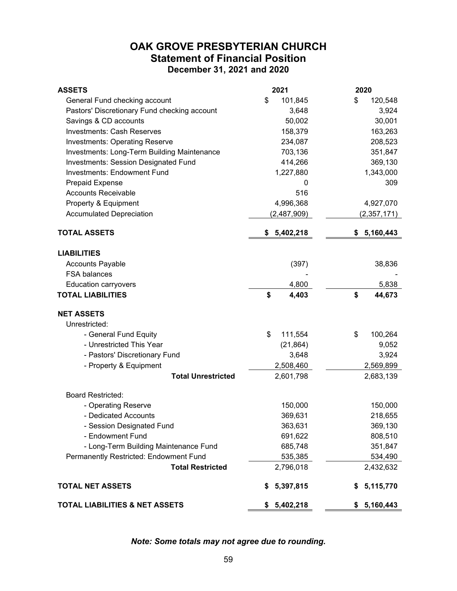#### **OAK GROVE PRESBYTERIAN CHURCH Statement of Financial Position December 31, 2021 and 2020**

| <b>ASSETS</b>                                | 2021            | 2020            |
|----------------------------------------------|-----------------|-----------------|
| General Fund checking account                | \$<br>101,845   | \$<br>120,548   |
| Pastors' Discretionary Fund checking account | 3,648           | 3,924           |
| Savings & CD accounts                        | 50,002          | 30,001          |
| <b>Investments: Cash Reserves</b>            | 158,379         | 163,263         |
| <b>Investments: Operating Reserve</b>        | 234,087         | 208,523         |
| Investments: Long-Term Building Maintenance  | 703,136         | 351,847         |
| <b>Investments: Session Designated Fund</b>  | 414,266         | 369,130         |
| <b>Investments: Endowment Fund</b>           | 1,227,880       | 1,343,000       |
| <b>Prepaid Expense</b>                       | 0               | 309             |
| <b>Accounts Receivable</b>                   | 516             |                 |
| Property & Equipment                         | 4,996,368       | 4,927,070       |
| <b>Accumulated Depreciation</b>              | (2,487,909)     | (2,357,171)     |
| <b>TOTAL ASSETS</b>                          | 5,402,218<br>\$ | 5,160,443<br>\$ |
| <b>LIABILITIES</b>                           |                 |                 |
| <b>Accounts Payable</b>                      | (397)           | 38,836          |
| <b>FSA balances</b>                          |                 |                 |
| <b>Education carryovers</b>                  | 4,800           | 5,838           |
| <b>TOTAL LIABILITIES</b>                     | \$<br>4,403     | \$<br>44,673    |
| <b>NET ASSETS</b>                            |                 |                 |
| Unrestricted:                                |                 |                 |
| - General Fund Equity                        | \$<br>111,554   | \$<br>100,264   |
| - Unrestricted This Year                     | (21, 864)       | 9,052           |
| - Pastors' Discretionary Fund                | 3,648           | 3,924           |
| - Property & Equipment                       | 2,508,460       | 2,569,899       |
| <b>Total Unrestricted</b>                    | 2,601,798       | 2,683,139       |
| <b>Board Restricted:</b>                     |                 |                 |
| - Operating Reserve                          | 150,000         | 150,000         |
| - Dedicated Accounts                         | 369,631         | 218,655         |
| - Session Designated Fund                    | 363,631         | 369,130         |
| - Endowment Fund                             | 691,622         | 808,510         |
| - Long-Term Building Maintenance Fund        | 685,748         | 351,847         |
| Permanently Restricted: Endowment Fund       | 535,385         | 534,490         |
| <b>Total Restricted</b>                      | 2,796,018       | 2,432,632       |
| <b>TOTAL NET ASSETS</b>                      | 5,397,815<br>\$ | 5,115,770<br>S  |
| <b>TOTAL LIABILITIES &amp; NET ASSETS</b>    | 5,402,218<br>\$ | 5,160,443<br>\$ |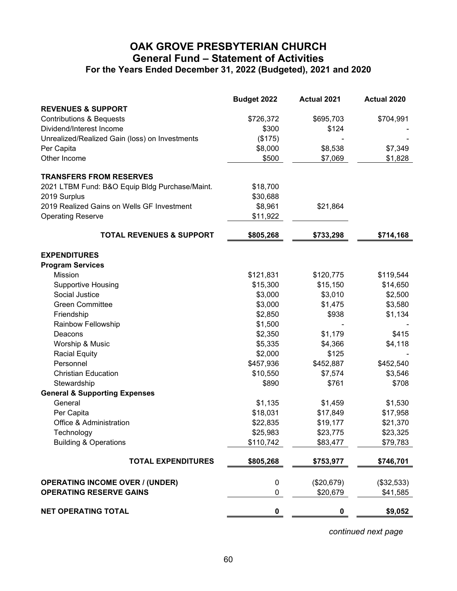#### **OAK GROVE PRESBYTERIAN CHURCH General Fund – Statement of Activities For the Years Ended December 31, 2022 (Budgeted), 2021 and 2020**

|                                                | Budget 2022 | Actual 2021 | Actual 2020 |
|------------------------------------------------|-------------|-------------|-------------|
| <b>REVENUES &amp; SUPPORT</b>                  |             |             |             |
| <b>Contributions &amp; Bequests</b>            | \$726,372   | \$695,703   | \$704,991   |
| Dividend/Interest Income                       | \$300       | \$124       |             |
| Unrealized/Realized Gain (loss) on Investments | (\$175)     |             |             |
| Per Capita                                     | \$8,000     | \$8,538     | \$7,349     |
| Other Income                                   | \$500       | \$7,069     | \$1,828     |
| <b>TRANSFERS FROM RESERVES</b>                 |             |             |             |
| 2021 LTBM Fund: B&O Equip Bldg Purchase/Maint. | \$18,700    |             |             |
| 2019 Surplus                                   | \$30,688    |             |             |
| 2019 Realized Gains on Wells GF Investment     | \$8,961     | \$21,864    |             |
| <b>Operating Reserve</b>                       | \$11,922    |             |             |
| <b>TOTAL REVENUES &amp; SUPPORT</b>            | \$805,268   | \$733,298   | \$714,168   |
| <b>EXPENDITURES</b>                            |             |             |             |
| <b>Program Services</b>                        |             |             |             |
| Mission                                        | \$121,831   | \$120,775   | \$119,544   |
| <b>Supportive Housing</b>                      | \$15,300    | \$15,150    | \$14,650    |
| Social Justice                                 | \$3,000     | \$3,010     | \$2,500     |
| <b>Green Committee</b>                         | \$3,000     | \$1,475     | \$3,580     |
| Friendship                                     | \$2,850     | \$938       | \$1,134     |
| Rainbow Fellowship                             | \$1,500     |             |             |
| Deacons                                        | \$2,350     | \$1,179     | \$415       |
| Worship & Music                                | \$5,335     | \$4,366     | \$4,118     |
| <b>Racial Equity</b>                           | \$2,000     | \$125       |             |
| Personnel                                      | \$457,936   | \$452,887   | \$452,540   |
| <b>Christian Education</b>                     | \$10,550    | \$7,574     | \$3,546     |
| Stewardship                                    | \$890       | \$761       | \$708       |
| <b>General &amp; Supporting Expenses</b>       |             |             |             |
| General                                        | \$1,135     | \$1,459     | \$1,530     |
| Per Capita                                     | \$18,031    | \$17,849    | \$17,958    |
| Office & Administration                        | \$22,835    | \$19,177    | \$21,370    |
| Technology                                     | \$25,983    | \$23,775    | \$23,325    |
| <b>Building &amp; Operations</b>               | \$110,742   | \$83,477    | \$79,783    |
| <b>TOTAL EXPENDITURES</b>                      | \$805,268   | \$753,977   | \$746,701   |
| <b>OPERATING INCOME OVER / (UNDER)</b>         | 0           | (\$20,679)  | (\$32,533)  |
| <b>OPERATING RESERVE GAINS</b>                 | 0           | \$20,679    | \$41,585    |
| <b>NET OPERATING TOTAL</b>                     | $\pmb{0}$   | $\pmb{0}$   | \$9,052     |

*continued next page*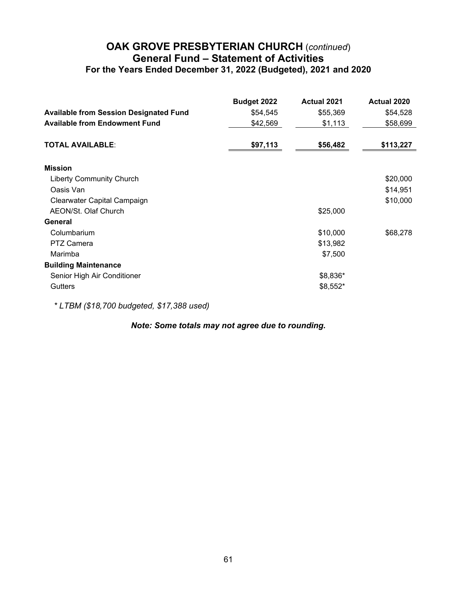#### **OAK GROVE PRESBYTERIAN CHURCH** (*continued*) **General Fund – Statement of Activities For the Years Ended December 31, 2022 (Budgeted), 2021 and 2020**

|                                               | Budget 2022 | <b>Actual 2021</b> | <b>Actual 2020</b> |
|-----------------------------------------------|-------------|--------------------|--------------------|
| <b>Available from Session Designated Fund</b> | \$54,545    | \$55,369           | \$54,528           |
| <b>Available from Endowment Fund</b>          | \$42,569    | \$1,113            | \$58,699           |
| <b>TOTAL AVAILABLE:</b>                       | \$97,113    | \$56,482           | \$113,227          |
| <b>Mission</b>                                |             |                    |                    |
| <b>Liberty Community Church</b>               |             |                    | \$20,000           |
| Oasis Van                                     |             |                    | \$14,951           |
| Clearwater Capital Campaign                   |             |                    | \$10,000           |
| AEON/St. Olaf Church                          |             | \$25,000           |                    |
| General                                       |             |                    |                    |
| Columbarium                                   |             | \$10,000           | \$68,278           |
| <b>PTZ Camera</b>                             |             | \$13,982           |                    |
| Marimba                                       |             | \$7,500            |                    |
| <b>Building Maintenance</b>                   |             |                    |                    |
| Senior High Air Conditioner                   |             | \$8,836*           |                    |
| <b>Gutters</b>                                |             | \$8,552*           |                    |

*\* LTBM (\$18,700 budgeted, \$17,388 used)*